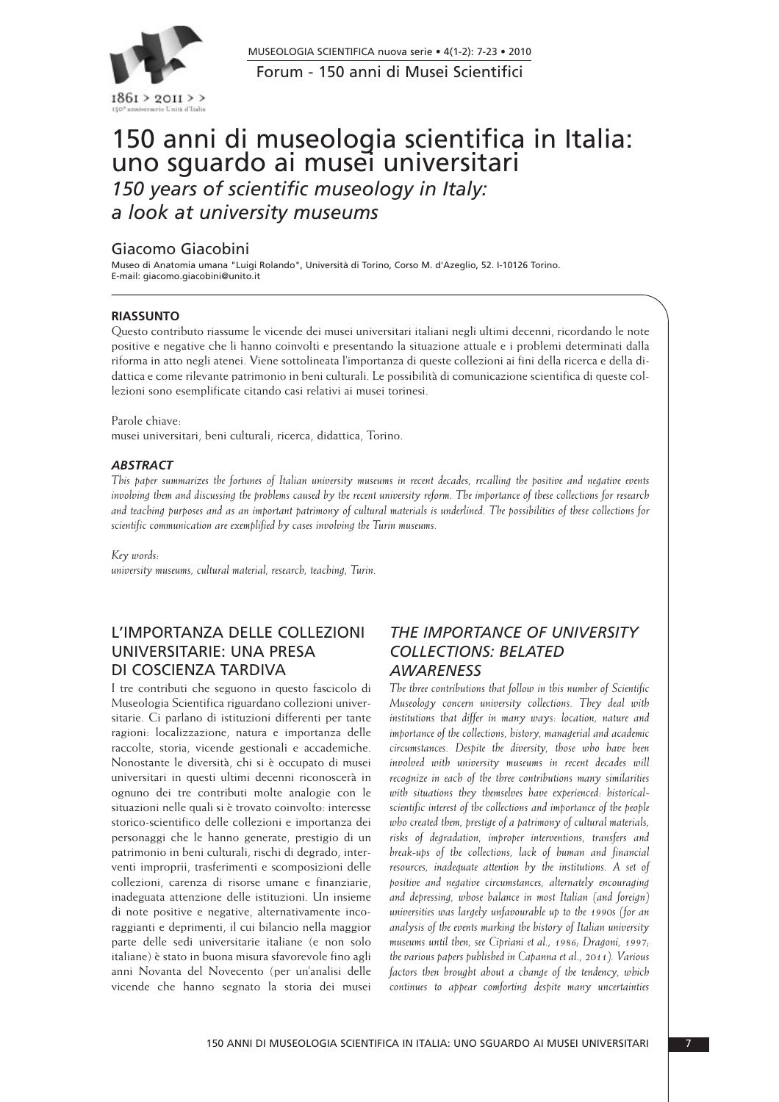

Forum - 150 anni di Musei Scientifici MUSEOLOGIA SCIENTIFICA nuova serie • 4(1-2): 7-23 • 2010

# 150 anni di museologia scientifica in Italia: uno sguardo ai musei universitari *150 years of scientific museology in Italy: a look at university museums*

#### Giacomo Giacobini

Museo di Anatomia umana "Luigi Rolando", Università di Torino, Corso M. d'Azeglio, 52. I-10126 Torino. E-mail: giacomo.giacobini@unito.it

#### **RIASSUNTO**

Questo contributo riassume le vicende dei musei universitari italiani negli ultimi decenni, ricordando le note positive e negative che li hanno coinvolti e presentando la situazione attuale e i problemi determinati dalla riforma in atto negli atenei. Viene sottolineata l'importanza di queste collezioni ai fini della ricerca e della didattica e come rilevante patrimonio in beni culturali. Le possibilità di comunicazione scientifica di queste collezioni sono esemplificate citando casi relativi ai musei torinesi.

Parole chiave:

musei universitari, beni culturali, ricerca, didattica, Torino.

#### *ABSTRACT*

*This paper summarizes the fortunes of Italian university museums in recent decades, recalling the positive and negative events involving them and discussing the problems caused by the recent university reform. The importance of these collections for research and teaching purposes and as an important patrimony of cultural materials is underlined. The possibilities of these collections for scientific communication are exemplified by cases involving the Turin museums.*

*Key words: university museums, cultural material, research, teaching, Turin.*

## L'IMPORTANZA DELLE COLLEZIONI UNIVERSITARIE: UNA PRESA DI COSCIENZA TARDIVA

I tre contributi che seguono in questo fascicolo di Museologia Scientifica riguardano collezioni universitarie. Ci parlano di istituzioni differenti per tante ragioni: localizzazione, natura e importanza delle raccolte, storia, vicende gestionali e accademiche. Nonostante le diversità, chi si è occupato di musei universitari in questi ultimi decenni riconoscerà in ognuno dei tre contributi molte analogie con le situazioni nelle quali si è trovato coinvolto: interesse storico-scientifico delle collezioni e importanza dei personaggi che le hanno generate, prestigio di un patrimonio in beni culturali, rischi di degrado, interventi improprii, trasferimenti e scomposizioni delle collezioni, carenza di risorse umane e finanziarie, inadeguata attenzione delle istituzioni. Un insieme di note positive e negative, alternativamente incoraggianti e deprimenti, il cui bilancio nella maggior parte delle sedi universitarie italiane (e non solo italiane) è stato in buona misura sfavorevole fino agli anni Novanta del Novecento (per un'analisi delle vicende che hanno segnato la storia dei musei

#### *THE IMPORTANCE OF UNIVERSITY COLLECTIONS: BELATED AWARENESS*

*The three contributions that follow in this number of Scientific Museology concern university collections. They deal with institutions that differ in many ways: location, nature and importance of the collections, history, managerial and academic circumstances. Despite the diversity, those who have been involved with university museums in recent decades will recognize in each of the three contributions many similarities with situations they themselves have experienced: historicalscientific interest of the collections and importance of the people who created them, prestige of a patrimony of cultural materials, risks of degradation, improper interventions, transfers and break-ups of the collections, lack of human and financial resources, inadequate attention by the institutions. A set of positive and negative circumstances, alternately encouraging and depressing, whose balance in most Italian (and foreign) universities was largely unfavourable up to the 1990s (for an analysis of the events marking the history of Italian university museums until then, see Cipriani et al., 1986; Dragoni, 1997; the various papers published in Capanna et al., 2011). Various factors then brought about a change of the tendency, which continues to appear comforting despite many uncertainties*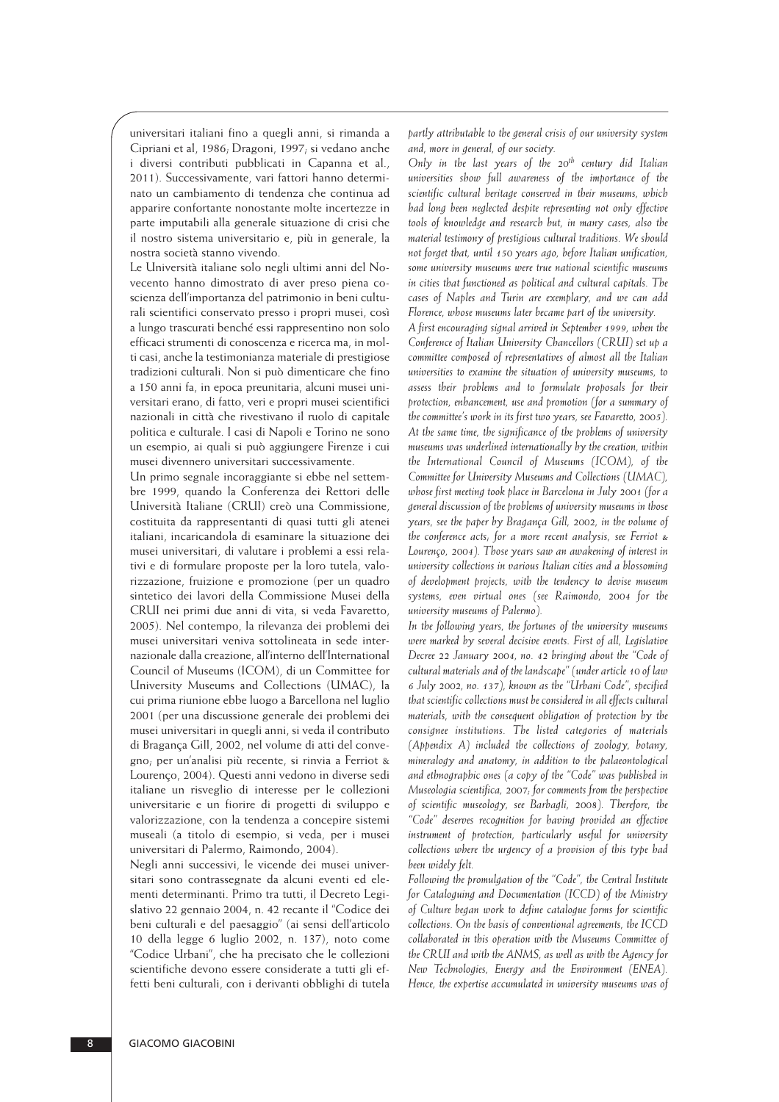universitari italiani fino a quegli anni, si rimanda a Cipriani et al, 1986; Dragoni, 1997; si vedano anche i diversi contributi pubblicati in Capanna et al., 2011). Successivamente, vari fattori hanno determinato un cambiamento di tendenza che continua ad apparire confortante nonostante molte incertezze in parte imputabili alla generale situazione di crisi che il nostro sistema universitario e, più in generale, la nostra società stanno vivendo.

Le Università italiane solo negli ultimi anni del Novecento hanno dimostrato di aver preso piena coscienza dell'importanza del patrimonio in beni culturali scientifici conservato presso i propri musei, così a lungo trascurati benché essi rappresentino non solo efficaci strumenti di conoscenza e ricerca ma, in mol ti casi, anche la testimonianza materiale di prestigiose tradizioni culturali. Non si può dimenticare che fino a 150 anni fa, in epoca preunitaria, alcuni musei universitari erano, di fatto, veri e propri musei scientifici nazionali in città che rivestivano il ruolo di capitale politica e culturale. I casi di Napoli e Torino ne sono un esempio, ai quali si può aggiungere Firenze i cui musei divennero universitari successivamente.

Un primo segnale incoraggiante si ebbe nel settembre 1999, quando la Conferenza dei Rettori delle Università Italiane (CRUI) creò una Commissione, costituita da rappresentanti di quasi tutti gli atenei ita liani, incaricandola di esaminare la situazione dei musei universitari, di valutare i problemi a essi relativi e di formulare proposte per la loro tutela, valoriz zazione, fruizione e promozione (per un quadro sintetico dei lavori della Commissione Musei della CRUI nei primi due anni di vita, si veda Favaretto, 2005). Nel contempo, la rilevanza dei problemi dei musei universitari veniva sottolineata in sede inter na zionale dalla creazione, all'interno dell'International Council of Museums (ICOM), di un Committee for University Museums and Collections (UMAC), la cui prima riunione ebbe luogo a Barcellona nel luglio 2001 (per una discussione generale dei problemi dei musei universitari in quegli anni, si veda il contributo di Bragança Gill, 2002, nel volume di atti del conve gno; per un'analisi più recente, si rinvia a Ferriot & Lourenço, 2004). Questi anni vedono in diverse sedi italiane un risveglio di interesse per le collezioni universitarie e un fiorire di progetti di sviluppo e valorizzazione, con la tendenza a concepire sistemi museali (a titolo di esempio, si veda, per i musei universitari di Palermo, Raimondo, 2004).

Negli anni successivi, le vicende dei musei universitari sono contrassegnate da alcuni eventi ed elementi determinanti. Primo tra tutti, il Decreto Legisla tivo 22 gennaio 2004, n. 42 recante il "Codice dei beni culturali e del paesaggio" (ai sensi dell'articolo 10 della legge 6 luglio 2002, n. 137), noto come "Codice Urbani", che ha precisato che le collezioni scientifiche devono essere considerate a tutti gli effetti beni culturali, con i derivanti obblighi di tutela

*partly attributable to the general crisis of our university system and, more in general, of our society.*

*Only in the last years of the 20th century did Italian universities show full awareness of the importance of the scientific cultural heritage conserved in their museums, which had long been neglected despite representing not only effective tools of knowledge and research but, in many cases, also the material testimony of prestigious cultural traditions. We should not forget that, until 150 years ago, before Italian unification, some university museums were true national scientific museums in cities that functioned as political and cultural capitals. The cases of Naples and Turin are exemplary, and we can add Florence, whose museums later became part of the university.* 

*A first encouraging signal arrived in September 1999, when the Conference of Italian University Chancellors (CRUI) set up a committee composed of representatives of almost all the Italian universities to examine the situation of university museums, to assess their problems and to formulate proposals for their protection, enhancement, use and promotion (for a summary of the committee's work in its first two years, see Favaretto, 2005). At the same time, the significance of the problems of university museums was underlined internationally by the creation, within the International Council of Museums (ICOM), of the Committee for University Museums and Collections (UMAC), whose first meeting took place in Barcelona in July 2001 (for a general discussion of the problems of university museums in those years, see the paper by Bragança Gill, 2002, in the volume of the conference acts; for a more recent analysis, see Ferriot & Lourenço, 2004). Those years saw an awakening of interest in university collections in various Italian cities and a blossoming of development projects, with the tendency to devise museum systems, even virtual ones (see Raimondo, 2004 for the university museums of Palermo).*

*In the following years, the fortunes of the university museums were marked by several decisive events. First of all, Legislative Decree 22 January 2004, no. 42 bringing about the "Code of cultural materials and of the landscape" (under article 10 of law 6 July 2002, no. 137), known as the "Urbani Code", specified that scientific collections must be considered in all effects cultural materials, with the consequent obligation of protection by the consignee institutions. The listed categories of materials (Appendix A) included the collections of zoology, botany, mineralogy and anatomy, in addition to the palaeontological and ethnographic ones (a copy of the "Code" was published in Museologia scientifica, 2007; for comments from the perspective of scientific museology, see Barbagli, 2008). Therefore, the "Code" deserves recognition for having provided an effective instrument of protection, particularly useful for university collections where the urgency of a provision of this type had been widely felt.*

*Following the promulgation of the "Code", the Central Institute for Cataloguing and Documentation (ICCD) of the Ministry of Culture began work to define catalogue forms for scientific collections. On the basis of conventional agreements, the ICCD collaborated in this operation with the Museums Committee of the CRUI and with the ANMS, as well as with the Agency for New Technologies, Energy and the Environment (ENEA). Hence, the expertise accumulated in university museums was of*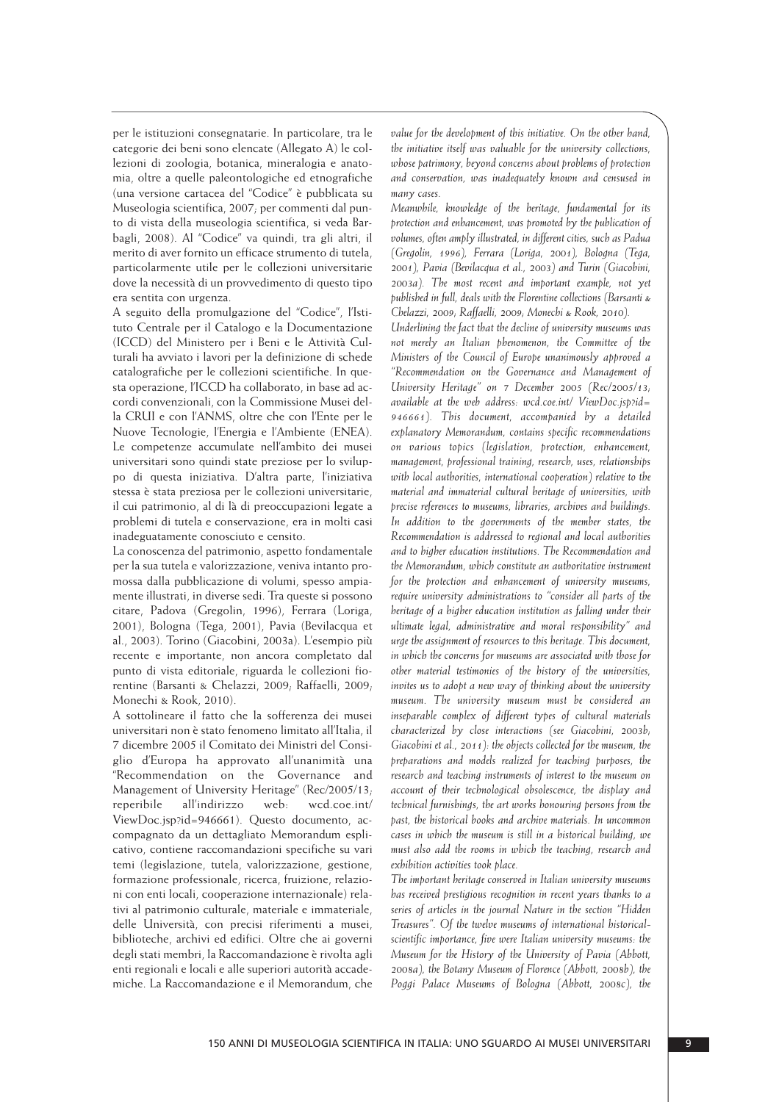per le istituzioni consegnatarie. In particolare, tra le categorie dei beni sono elencate (Allegato A) le col lezioni di zoologia, botanica, mineralogia e anatomia, oltre a quelle paleontologiche ed etnografiche (una versione cartacea del "Codice" è pubblicata su Museologia scientifica, 2007; per commenti dal punto di vista della museologia scientifica, si veda Bar bagli, 2008). Al "Codice" va quindi, tra gli altri, il merito di aver fornito un efficace strumento di tutela, particolarmente utile per le collezioni universitarie dove la necessità di un provvedimento di questo tipo era sentita con urgenza.

A seguito della promulgazione del "Codice", l'Isti tuto Centrale per il Catalogo e la Documentazione (ICCD) del Ministero per i Beni e le Attività Culturali ha avviato i lavori per la definizione di schede catalografiche per le collezioni scientifiche. In que sta operazione, l'ICCD ha collaborato, in base ad ac cordi convenzionali, con la Commissione Musei del la CRUI e con l'ANMS, oltre che con l'Ente per le Nuove Tecnologie, l'Energia e l'Ambiente (ENEA). Le competenze accumulate nell'ambito dei musei universitari sono quindi state preziose per lo sviluppo di questa iniziativa. D'altra parte, l'iniziativa stessa è stata preziosa per le collezioni universitarie, il cui patrimonio, al di là di preoccupazioni legate a problemi di tutela e conservazione, era in molti casi inadeguatamente conosciuto e censito.

La conoscenza del patrimonio, aspetto fondamentale per la sua tutela e valorizzazione, veniva intanto promossa dalla pubblicazione di volumi, spesso ampia mente illustrati, in diverse sedi. Tra queste si possono citare, Padova (Gregolin, 1996), Ferrara (Loriga, 2001), Bologna (Tega, 2001), Pavia (Bevilacqua et al., 2003). Torino (Giacobini, 2003a). L'esempio più recente e importante, non ancora completato dal punto di vista editoriale, riguarda le collezioni fiorentine (Barsanti & Chelazzi, 2009; Raffaelli, 2009; Monechi & Rook, 2010).

A sottolineare il fatto che la sofferenza dei musei universitari non è stato fenomeno limitato all'Italia, il 7 dicembre 2005 il Comitato dei Ministri del Consi glio d'Europa ha approvato all'unanimità una "Recommendation on the Governance and Management of University Heritage" (Rec/2005/13; reperibile all'indirizzo web: wcd.coe.int/ ViewDoc.jsp?id=946661). Questo documento, ac compagnato da un dettagliato Memorandum esplicativo, contiene raccomandazioni specifiche su vari temi (legislazione, tutela, valorizzazione, gestione, formazione professionale, ricerca, fruizione, relazioni con enti locali, cooperazione internazionale) relativi al patrimonio culturale, materiale e immateriale, delle Università, con precisi riferimenti a musei, biblioteche, archivi ed edifici. Oltre che ai governi degli stati membri, la Raccomandazione è rivolta agli enti regionali e locali e alle superiori autorità accade miche. La Raccomandazione e il Memorandum, che

*value for the development of this initiative. On the other hand, the initiative itself was valuable for the university collections, whose patrimony, beyond concerns about problems of protection and conservation, was inadequately known and censused in many cases.*

*Meanwhile, knowledge of the heritage, fundamental for its protection and enhancement, was promoted by the publication of volumes, often amply illustrated, in different cities, such as Padua (Gregolin, 1996), Ferrara (Loriga, 2001), Bologna (Tega, 2001), Pavia (Bevilacqua et al., 2003) and Turin (Giacobini, 2003a). The most recent and important example, not yet published in full, deals with the Florentine collections (Barsanti & Chelazzi, 2009; Raffaelli, 2009; Monechi & Rook, 2010).*

*Underlining the fact that the decline of university museums was not merely an Italian phenomenon, the Committee of the Ministers of the Council of Europe unanimously approved a "Recommendation on the Governance and Management of University Heritage" on 7 December 2005 (Rec/2005/13; available at the web address: wcd.coe.int/ ViewDoc.jsp?id= 946661). This document, accompanied by a detailed explanatory Memorandum, contains specific recommendations on various topics (legislation, protection, enhancement, management, professional training, research, uses, relationships with local authorities, international cooperation) relative to the material and immaterial cultural heritage of universities, with precise references to museums, libraries, archives and buildings. In addition to the governments of the member states, the Recommendation is addressed to regional and local authorities and to higher education institutions. The Recommendation and the Memorandum, which constitute an authoritative instrument for the protection and enhancement of university museums, require university administrations to "consider all parts of the heritage of a higher education institution as falling under their ultimate legal, administrative and moral responsibility" and urge the assignment of resources to this heritage. This document, in which the concerns for museums are associated with those for other material testimonies of the history of the universities, invites us to adopt a new way of thinking about the university museum. The university museum must be considered an inseparable complex of different types of cultural materials characterized by close interactions (see Giacobini, 2003b; Giacobini et al., 2011): the objects collected for the museum, the preparations and models realized for teaching purposes, the research and teaching instruments of interest to the museum on account of their technological obsolescence, the display and technical furnishings, the art works honouring persons from the past, the historical books and archive materials. In uncommon cases in which the museum is still in a historical building, we must also add the rooms in which the teaching, research and exhibition activities took place.* 

*The important heritage conserved in Italian university museums has received prestigious recognition in recent years thanks to a series of articles in the journal Nature in the section "Hidden Treasures". Of the twelve museums of international historicalscientific importance, five were Italian university museums: the Museum for the History of the University of Pavia (Abbott, 2008a), the Botany Museum of Florence (Abbott, 2008b), the Poggi Palace Museums of Bologna (Abbott, 2008c), the*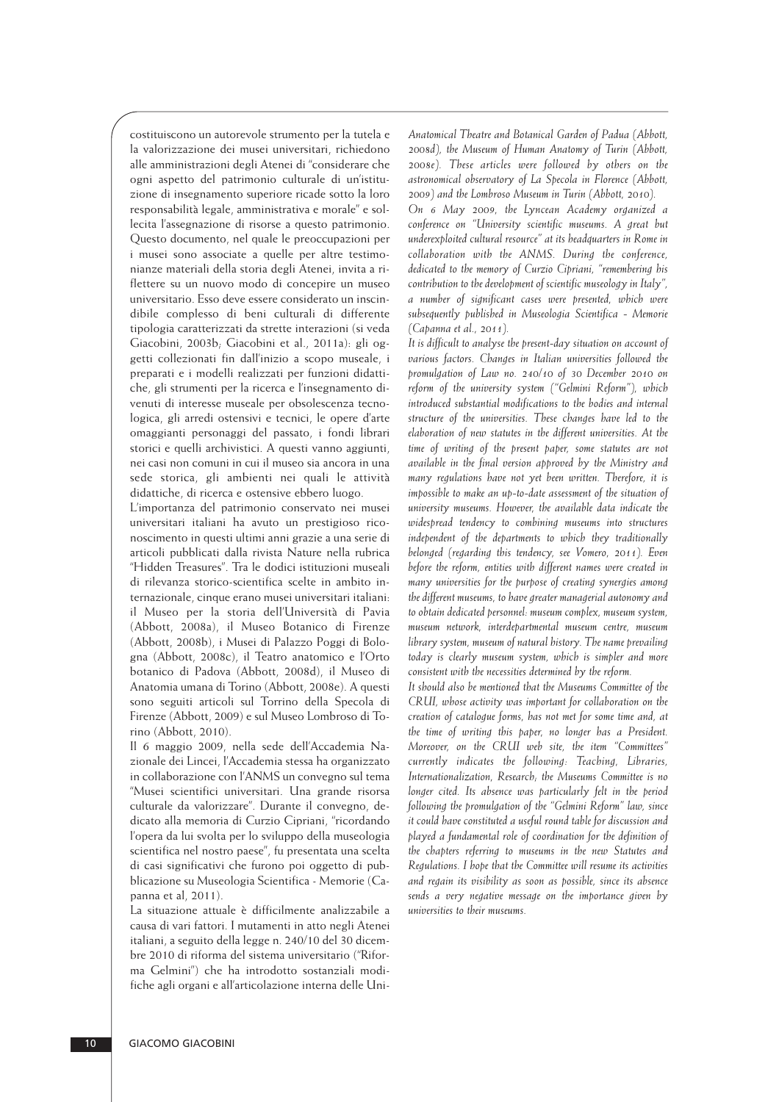costituiscono un autorevole strumento per la tutela e la valorizzazione dei musei universitari, richiedono alle amministrazioni degli Atenei di "considerare che ogni aspetto del patrimonio culturale di un'istituzione di insegnamento superiore ricade sotto la loro responsabilità legale, amministrativa e morale" e sol le cita l'assegnazione di risorse a questo patrimonio. Questo documento, nel quale le preoccupazioni per i musei sono associate a quelle per altre testimonianze materiali della storia degli Atenei, invita a ri flettere su un nuovo modo di concepire un museo universitario. Esso deve essere considerato un inscin dibile complesso di beni culturali di differente tipologia caratterizzati da strette interazioni (si veda Giacobini, 2003b; Giacobini et al., 2011a): gli oggetti collezionati fin dall'inizio a scopo museale, i preparati e i modelli realizzati per funzioni didattiche, gli strumenti per la ricerca e l'insegnamento di venuti di interesse museale per obsolescenza tecno logica, gli arredi ostensivi e tecnici, le opere d'arte omaggianti personaggi del passato, i fondi librari storici e quelli archivistici. A questi vanno aggiunti, nei casi non comuni in cui il museo sia ancora in una sede storica, gli ambienti nei quali le attività didattiche, di ricerca e ostensive ebbero luogo.

L'importanza del patrimonio conservato nei musei universitari italiani ha avuto un prestigioso riconoscimento in questi ultimi anni grazie a una serie di articoli pubblicati dalla rivista Nature nella rubrica "Hidden Treasures". Tra le dodici istituzioni museali di rilevanza storico-scientifica scelte in ambito in ternazionale, cinque erano musei universitari italiani: il Museo per la storia dell'Università di Pavia (Abbott, 2008a), il Museo Botanico di Firenze (Abbott, 2008b), i Musei di Palazzo Poggi di Bologna (Abbott, 2008c), il Teatro anatomico e l'Orto botanico di Padova (Abbott, 2008d), il Museo di Anatomia umana di Torino (Abbott, 2008e). A questi sono seguiti articoli sul Torrino della Specola di Firenze (Abbott, 2009) e sul Museo Lombroso di To rino (Abbott, 2010).

Il 6 maggio 2009, nella sede dell'Accademia Nazionale dei Lincei, l'Accademia stessa ha organizzato in collaborazione con l'ANMS un convegno sul tema "Musei scientifici universitari. Una grande risorsa culturale da valorizzare". Durante il convegno, dedicato alla memoria di Curzio Cipriani, "ricordando l'opera da lui svolta per lo sviluppo della museologia scientifica nel nostro paese", fu presentata una scelta di casi significativi che furono poi oggetto di pubblicazione su Museologia Scientifica - Memorie (Ca panna et al, 2011).

La situazione attuale è difficilmente analizzabile a causa di vari fattori. I mutamenti in atto negli Atenei italiani, a seguito della legge n. 240/10 del 30 dicembre 2010 di riforma del sistema universitario ("Rifor ma Gelmini") che ha introdotto sostanziali modifiche agli organi e all'articolazione interna delle Uni -

*Anatomical Theatre and Botanical Garden of Padua (Abbott, 2008d), the Museum of Human Anatomy of Turin (Abbott, 2008e). These articles were followed by others on the astronomical observatory of La Specola in Florence (Abbott, 2009) and the Lombroso Museum in Turin (Abbott, 2010).* 

*On 6 May 2009, the Lyncean Academy organized a conference on "University scientific museums. A great but underexploited cultural resource" at its headquarters in Rome in collaboration with the ANMS. During the conference, dedicated to the memory of Curzio Cipriani, "remembering his contribution to the development of scientific museology in Italy", a number of significant cases were presented, which were subsequently published in Museologia Scientifica - Memorie (Capanna et al., 2011).*

*It is difficult to analyse the present-day situation on account of various factors. Changes in Italian universities followed the promulgation of Law no. 240/10 of 30 December 2010 on reform of the university system ("Gelmini Reform"), which introduced substantial modifications to the bodies and internal structure of the universities. These changes have led to the elaboration of new statutes in the different universities. At the time of writing of the present paper, some statutes are not available in the final version approved by the Ministry and many regulations have not yet been written. Therefore, it is impossible to make an up-to-date assessment of the situation of university museums. However, the available data indicate the widespread tendency to combining museums into structures independent of the departments to which they traditionally belonged (regarding this tendency, see Vomero, 2011). Even before the reform, entities with different names were created in many universities for the purpose of creating synergies among the different museums, to have greater managerial autonomy and to obtain dedicated personnel: museum complex, museum system, museum network, interdepartmental museum centre, museum library system, museum of natural history. The name prevailing today is clearly museum system, which is simpler and more consistent with the necessities determined by the reform.*

*It should also be mentioned that the Museums Committee of the CRUI, whose activity was important for collaboration on the creation of catalogue forms, has not met for some time and, at the time of writing this paper, no longer has a President. Moreover, on the CRUI web site, the item "Committees" currently indicates the following: Teaching, Libraries, Internationalization, Research; the Museums Committee is no longer cited. Its absence was particularly felt in the period following the promulgation of the "Gelmini Reform" law, since it could have constituted a useful round table for discussion and played a fundamental role of coordination for the definition of the chapters referring to museums in the new Statutes and Regulations. I hope that the Committee will resume its activities and regain its visibility as soon as possible, since its absence sends a very negative message on the importance given by universities to their museums.*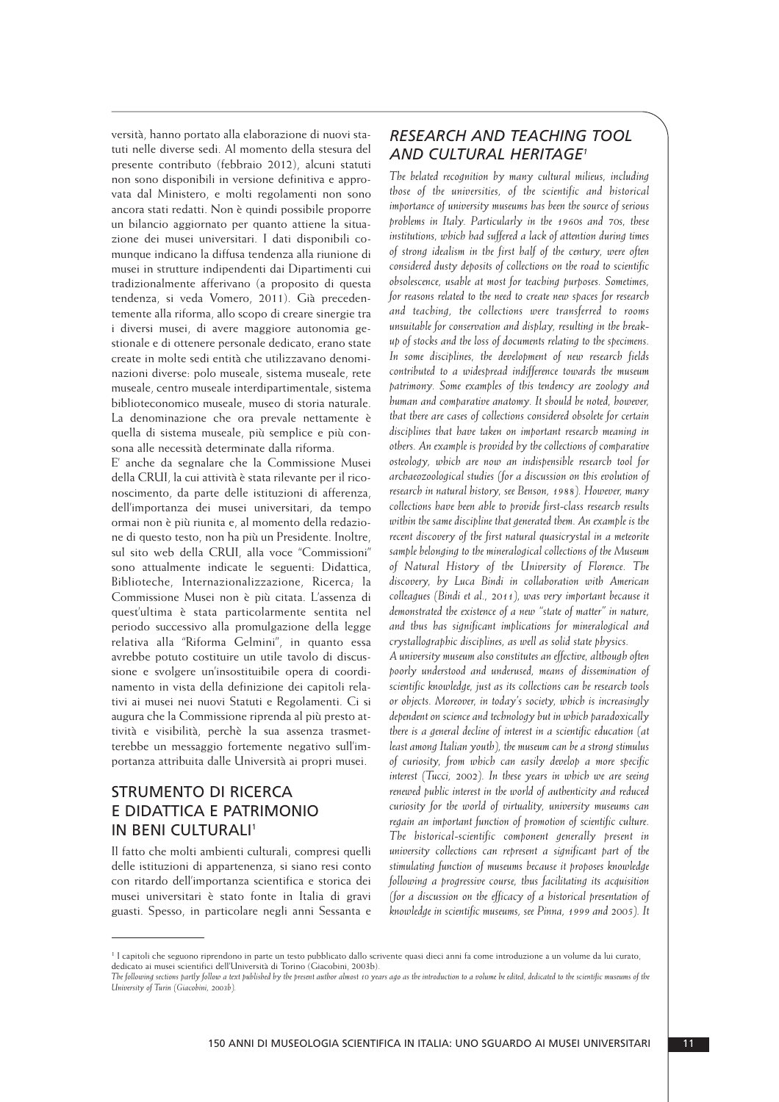versità, hanno portato alla elaborazione di nuovi statuti nelle diverse sedi. Al momento della stesura del presente contributo (febbraio 2012), alcuni statuti non sono disponibili in versione definitiva e approvata dal Ministero, e molti regolamenti non sono ancora stati redatti. Non è quindi possibile proporre un bilancio aggiornato per quanto attiene la situa zione dei musei universitari. I dati disponibili comunque indicano la diffusa tendenza alla riunione di musei in strutture indipendenti dai Dipartimenti cui tradizionalmente afferivano (a proposito di questa tendenza, si veda Vomero, 2011). Già precedentemente alla riforma, allo scopo di creare sinergie tra i diversi musei, di avere maggiore autonomia gestionale e di ottenere personale dedicato, erano state create in molte sedi entità che utilizzavano denomi nazioni diverse: polo museale, sistema museale, rete museale, centro museale interdipartimentale, sistema biblioteconomico museale, museo di storia naturale. La denominazione che ora prevale nettamente è quella di sistema museale, più semplice e più consona alle necessità determinate dalla riforma.

E' anche da segnalare che la Commissione Musei della CRUI, la cui attività è stata rilevante per il rico noscimento, da parte delle istituzioni di afferenza, dell'importanza dei musei universitari, da tempo ormai non è più riunita e, al momento della redazione di questo testo, non ha più un Presidente. Inoltre, sul sito web della CRUI, alla voce "Commissioni" sono attualmente indicate le seguenti: Didattica, Biblioteche, Internazionalizzazione, Ricerca, la Commissione Musei non è più citata. L'assenza di quest'ultima è stata particolarmente sen tita nel periodo successivo alla promulgazione della legge relativa alla "Riforma Gelmini", in quanto essa avrebbe potuto costituire un utile tavolo di discussione e svolgere un'insostituibile opera di coordi namento in vista della definizione dei capitoli rela tivi ai musei nei nuovi Statuti e Regolamenti. Ci si augura che la Commissione riprenda al più presto at tività e visibilità, perchè la sua assenza trasmetterebbe un messaggio fortemente negativo sull'im portanza attribuita dalle Università ai propri musei.

## STRUMENTO DI RICERCA E DIDATTICA E PATRIMONIO IN BENI CULTURALI<sup>1</sup>

Il fatto che molti ambienti culturali, compresi quelli delle istituzioni di appartenenza, si siano resi conto con ritardo dell'importanza scientifica e storica dei musei universitari è stato fonte in Italia di gravi guasti. Spesso, in particolare negli anni Sessanta e

#### *RESEARCH AND TEACHING TOOL AND CULTURAL HERITAGE1*

*The belated recognition by many cultural milieus, including those of the universities, of the scientific and historical importance of university museums has been the source of serious problems in Italy. Particularly in the 1960s and 70s, these institutions, which had suffered a lack of attention during times of strong idealism in the first half of the century, were often considered dusty deposits of collections on the road to scientific obsolescence, usable at most for teaching purposes. Sometimes, for reasons related to the need to create new spaces for research and teaching, the collections were transferred to rooms unsuitable for conservation and display, resulting in the breakup of stocks and the loss of documents relating to the specimens. In some disciplines, the development of new research fields contributed to a widespread indifference towards the museum patrimony. Some examples of this tendency are zoology and human and comparative anatomy. It should be noted, however, that there are cases of collections considered obsolete for certain disciplines that have taken on important research meaning in others. An example is provided by the collections of comparative osteology, which are now an indispensible research tool for archaeozoological studies (for a discussion on this evolution of research in natural history, see Benson, 1988). However, many collections have been able to provide first-class research results within the same discipline that generated them. An example is the recent discovery of the first natural quasicrystal in a meteorite sample belonging to the mineralogical collections of the Museum of Natural History of the University of Florence. The discovery, by Luca Bindi in collaboration with American colleagues (Bindi et al., 2011), was very important because it demonstrated the existence of a new "state of matter" in nature, and thus has significant implications for mineralogical and crystallographic disciplines, as well as solid state physics.*

*A university museum also constitutes an effective, although often poorly understood and underused, means of dissemination of scientific knowledge, just as its collections can be research tools or objects. Moreover, in today's society, which is increasingly dependent on science and technology but in which paradoxically there is a general decline of interest in a scientific education (at least among Italian youth), the museum can be a strong stimulus of curiosity, from which can easily develop a more specific interest (Tucci, 2002). In these years in which we are seeing renewed public interest in the world of authenticity and reduced curiosity for the world of virtuality, university museums can regain an important function of promotion of scientific culture. The historical-scientific component generally present in university collections can represent a significant part of the stimulating function of museums because it proposes knowledge following a progressive course, thus facilitating its acquisition (for a discussion on the efficacy of a historical presentation of knowledge in scientific museums, see Pinna, 1999 and 2005). It*

<sup>&</sup>lt;sup>1</sup> I capitoli che seguono riprendono in parte un testo pubblicato dallo scrivente quasi dieci anni fa come introduzione a un volume da lui curato, dedicato ai musei scientifici dell'Università di Torino (Giacobini, 2003b).

*The following sections partly follow a text published by the present author almost 10 years ago as the introduction to a volume he edited, dedicated to the scientific museums of the University of Turin (Giacobini, 2003b).*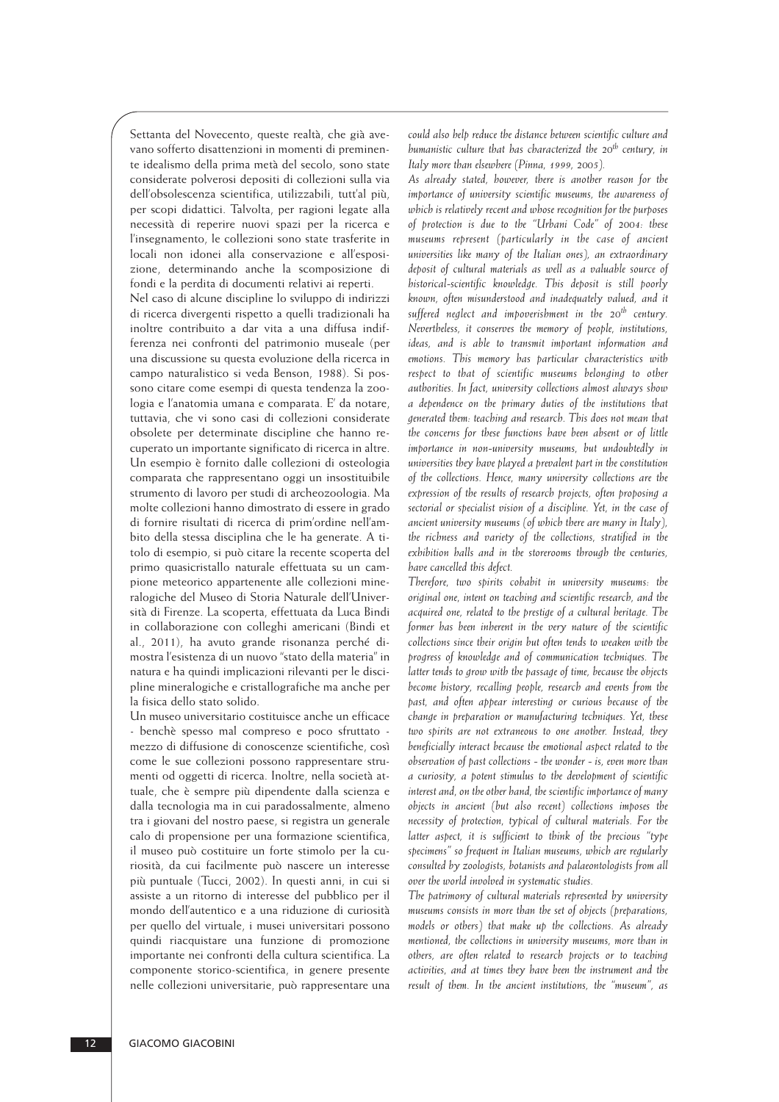Settanta del Novecento, queste realtà, che già avevano sofferto disattenzioni in momenti di preminente idealismo della prima metà del secolo, sono state considerate polverosi depositi di collezioni sulla via dell'obsolescenza scientifica, utilizzabili, tutt'al più, per scopi didattici. Talvolta, per ragioni legate alla necessità di reperire nuovi spazi per la ricerca e l'insegnamento, le collezioni sono state trasferite in locali non idonei alla conservazione e all'esposizione, determinando anche la scomposizione di fondi e la perdita di documenti relativi ai reperti.

Nel caso di alcune discipline lo sviluppo di indirizzi di ricerca divergenti rispetto a quelli tradizionali ha inoltre contribuito a dar vita a una diffusa indifferenza nei confronti del patrimonio museale (per una discussione su questa evoluzione della ricerca in campo naturalistico si veda Benson, 1988). Si possono citare come esempi di questa tendenza la zoo logia e l'anatomia umana e comparata. E' da notare, tuttavia, che vi sono casi di collezioni considerate obsolete per determinate discipline che hanno re cuperato un importante significato di ricerca in altre. Un esempio è fornito dalle collezioni di osteologia comparata che rappresentano oggi un insostituibile strumento di lavoro per studi di archeozoologia. Ma molte collezioni hanno dimostrato di essere in grado di fornire risultati di ricerca di prim'ordine nell'am bito della stessa disciplina che le ha generate. A titolo di esempio, si può citare la recente scoperta del primo quasicristallo naturale effettuata su un campione meteorico appartenente alle collezioni mineralogiche del Museo di Storia Naturale dell'Università di Firenze. La scoperta, effettuata da Luca Bindi in collaborazione con colleghi americani (Bindi et al., 2011), ha avuto grande risonanza perché dimostra l'esistenza di un nuovo "stato della materia" in natura e ha quindi implicazioni rilevanti per le disci pline mineralogiche e cristallografiche ma anche per la fisica dello stato solido.

Un museo universitario costituisce anche un efficace - benchè spesso mal compreso e poco sfruttato mezzo di diffusione di conoscenze scientifiche, così come le sue collezioni possono rappresentare strumenti od oggetti di ricerca. Inoltre, nella società at tuale, che è sempre più dipendente dalla scienza e dalla tecnologia ma in cui paradossalmente, almeno tra i giovani del nostro paese, si registra un generale calo di propensione per una formazione scientifica, il museo può costituire un forte stimolo per la curiosità, da cui facilmente può nascere un interesse più puntuale (Tucci, 2002). In questi anni, in cui si assiste a un ritorno di interesse del pubblico per il mondo dell'autentico e a una riduzione di curiosità per quello del virtuale, i musei universitari possono quindi riacquistare una funzione di promozione importante nei confronti della cultura scientifica. La componente storico-scientifica, in genere presente nelle collezioni universitarie, può rappresentare una

*could also help reduce the distance between scientific culture and humanistic culture that has characterized the 20th century, in Italy more than elsewhere (Pinna, 1999, 2005).*

*As already stated, however, there is another reason for the importance of university scientific museums, the awareness of which is relatively recent and whose recognition for the purposes of protection is due to the "Urbani Code" of 2004: these museums represent (particularly in the case of ancient universities like many of the Italian ones), an extraordinary deposit of cultural materials as well as a valuable source of historical-scientific knowledge. This deposit is still poorly known, often misunderstood and inadequately valued, and it suffered neglect and impoverishment in the 20th century. Nevertheless, it conserves the memory of people, institutions, ideas, and is able to transmit important information and emotions. This memory has particular characteristics with respect to that of scientific museums belonging to other authorities. In fact, university collections almost always show a dependence on the primary duties of the institutions that generated them: teaching and research. This does not mean that the concerns for these functions have been absent or of little importance in non-university museums, but undoubtedly in universities they have played a prevalent part in the constitution of the collections. Hence, many university collections are the expression of the results of research projects, often proposing a sectorial or specialist vision of a discipline. Yet, in the case of ancient university museums (of which there are many in Italy), the richness and variety of the collections, stratified in the exhibition halls and in the storerooms through the centuries, have cancelled this defect.*

*Therefore, two spirits cohabit in university museums: the original one, intent on teaching and scientific research, and the acquired one, related to the prestige of a cultural heritage. The former has been inherent in the very nature of the scientific collections since their origin but often tends to weaken with the progress of knowledge and of communication techniques. The latter tends to grow with the passage of time, because the objects become history, recalling people, research and events from the past, and often appear interesting or curious because of the change in preparation or manufacturing techniques. Yet, these two spirits are not extraneous to one another. Instead, they beneficially interact because the emotional aspect related to the observation of past collections - the wonder - is, even more than a curiosity, a potent stimulus to the development of scientific interest and, on the other hand, the scientific importance of many objects in ancient (but also recent) collections imposes the necessity of protection, typical of cultural materials. For the latter aspect, it is sufficient to think of the precious "type specimens" so frequent in Italian museums, which are regularly consulted by zoologists, botanists and palaeontologists from all over the world involved in systematic studies.*

*The patrimony of cultural materials represented by university museums consists in more than the set of objects (preparations, models or others) that make up the collections. As already mentioned, the collections in university museums, more than in others, are often related to research projects or to teaching activities, and at times they have been the instrument and the result of them. In the ancient institutions, the "museum", as*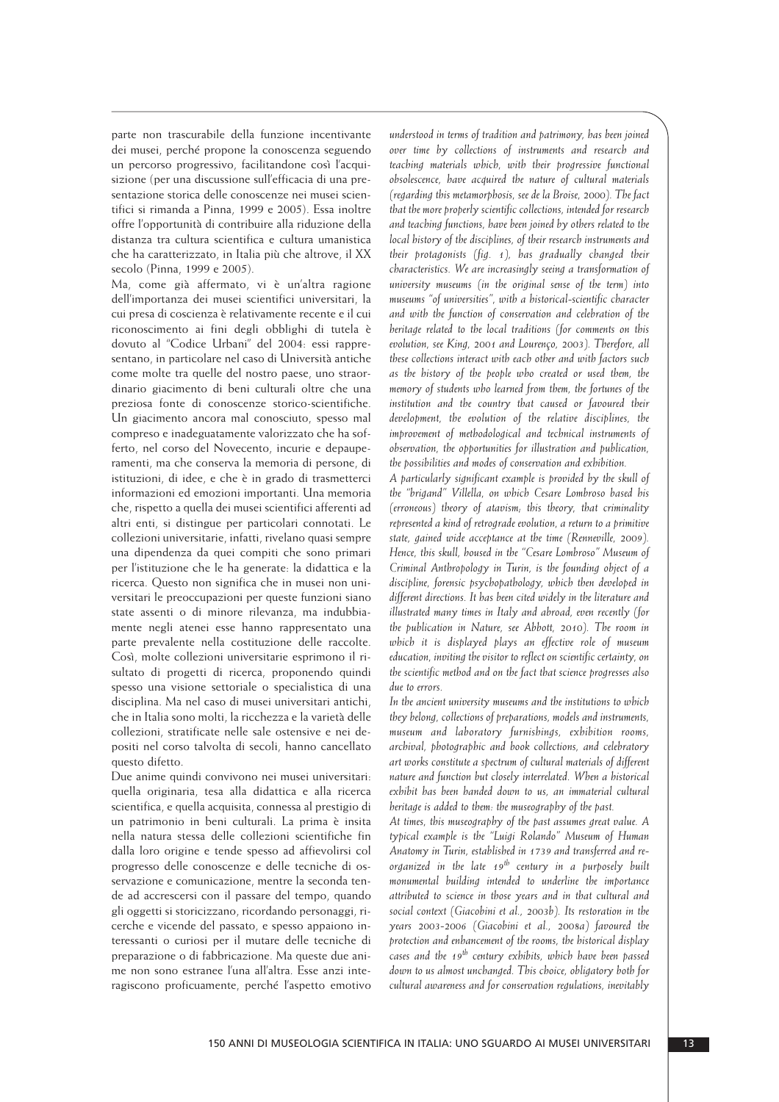parte non trascurabile della funzione incentivante dei musei, perché propone la conoscenza seguendo un percorso progressivo, facilitandone così l'acqui sizione (per una discussione sull'efficacia di una presentazione storica delle conoscenze nei musei scien tifici si rimanda a Pinna, 1999 e 2005). Essa inoltre offre l'opportunità di contribuire alla riduzione della distanza tra cultura scientifica e cultura umanistica che ha caratterizzato, in Italia più che altrove, il XX secolo (Pinna, 1999 e 2005).

Ma, come già affermato, vi è un'altra ragione dell'importanza dei musei scientifici universitari, la cui presa di coscienza è relativamente recente e il cui riconoscimento ai fini degli obblighi di tutela è dovuto al "Codice Urbani" del 2004: essi rappresentano, in particolare nel caso di Università antiche come molte tra quelle del nostro paese, uno straordinario giacimento di beni culturali oltre che una preziosa fonte di conoscenze storico-scientifiche. Un giacimento ancora mal conosciuto, spesso mal compreso e inadeguatamente valorizzato che ha sofferto, nel corso del Novecento, incurie e depauperamenti, ma che conserva la memoria di persone, di istituzioni, di idee, e che è in grado di trasmetterci informazioni ed emozioni importanti. Una memoria che, rispetto a quella dei musei scientifici afferenti ad altri enti, si distingue per particolari connotati. Le collezioni universitarie, infatti, rivelano quasi sempre una dipendenza da quei compiti che sono primari per l'istituzione che le ha generate: la didattica e la ricerca. Questo non significa che in musei non uni versitari le preoccupazioni per queste funzioni siano state assenti o di minore rilevanza, ma indubbia mente negli atenei esse hanno rappresentato una parte prevalente nella costituzione delle raccolte. Così, molte collezioni universitarie esprimono il ri sultato di progetti di ricerca, proponendo quindi spesso una visione settoriale o specialistica di una disciplina. Ma nel caso di musei universitari antichi, che in Italia sono molti, la ricchezza e la varietà delle collezioni, stratificate nelle sale ostensive e nei depositi nel corso talvolta di secoli, hanno cancellato questo difetto.

Due anime quindi convivono nei musei universitari: quella originaria, tesa alla didattica e alla ricerca scientifica, e quella acquisita, connessa al prestigio di un patrimonio in beni culturali. La prima è insita nella natura stessa delle collezioni scientifiche fin dalla loro origine e tende spesso ad affievolirsi col progresso delle conoscenze e delle tecniche di osservazione e comunicazione, mentre la seconda tende ad accrescersi con il passare del tempo, quando gli oggetti si storicizzano, ricordando personaggi, ri cerche e vicende del passato, e spesso appaiono in teressanti o curiosi per il mutare delle tecniche di preparazione o di fabbricazione. Ma queste due ani me non sono estranee l'una all'altra. Esse anzi inte ragiscono proficuamente, perché l'aspetto emotivo *understood in terms of tradition and patrimony, has been joined over time by collections of instruments and research and teaching materials which, with their progressive functional obsolescence, have acquired the nature of cultural materials (regarding this metamorphosis, see de la Broise, 2000). The fact that the more properly scientific collections, intended for research and teaching functions, have been joined by others related to the local history of the disciplines, of their research instruments and their protagonists (fig. 1), has gradually changed their characteristics. We are increasingly seeing a transformation of university museums (in the original sense of the term) into museums "of universities", with a historical-scientific character and with the function of conservation and celebration of the heritage related to the local traditions (for comments on this evolution, see King, 2001 and Lourenço, 2003). Therefore, all these collections interact with each other and with factors such as the history of the people who created or used them, the memory of students who learned from them, the fortunes of the institution and the country that caused or favoured their development, the evolution of the relative disciplines, the improvement of methodological and technical instruments of observation, the opportunities for illustration and publication, the possibilities and modes of conservation and exhibition.*

*A particularly significant example is provided by the skull of the "brigand" Villella, on which Cesare Lombroso based his (erroneous) theory of atavism; this theory, that criminality represented a kind of retrograde evolution, a return to a primitive state, gained wide acceptance at the time (Renneville, 2009). Hence, this skull, housed in the "Cesare Lombroso" Museum of Criminal Anthropology in Turin, is the founding object of a discipline, forensic psychopathology, which then developed in different directions. It has been cited widely in the literature and illustrated many times in Italy and abroad, even recently (for the publication in Nature, see Abbott, 2010). The room in which it is displayed plays an effective role of museum education, inviting the visitor to reflect on scientific certainty, on the scientific method and on the fact that science progresses also due to errors.*

*In the ancient university museums and the institutions to which they belong, collections of preparations, models and instruments, museum and laboratory furnishings, exhibition rooms, archival, photographic and book collections, and celebratory art works constitute a spectrum of cultural materials of different nature and function but closely interrelated. When a historical exhibit has been handed down to us, an immaterial cultural heritage is added to them: the museography of the past.*

*At times, this museography of the past assumes great value. A typical example is the "Luigi Rolando" Museum of Human Anatomy in Turin, established in 1739 and transferred and reorganized in the late 19th century in a purposely built monumental building intended to underline the importance attributed to science in those years and in that cultural and social context (Giacobini et al., 2003b). Its restoration in the years 2003-2006 (Giacobini et al., 2008a) favoured the protection and enhancement of the rooms, the historical display cases and the 19th century exhibits, which have been passed down to us almost unchanged. This choice, obligatory both for cultural awareness and for conservation regulations, inevitably*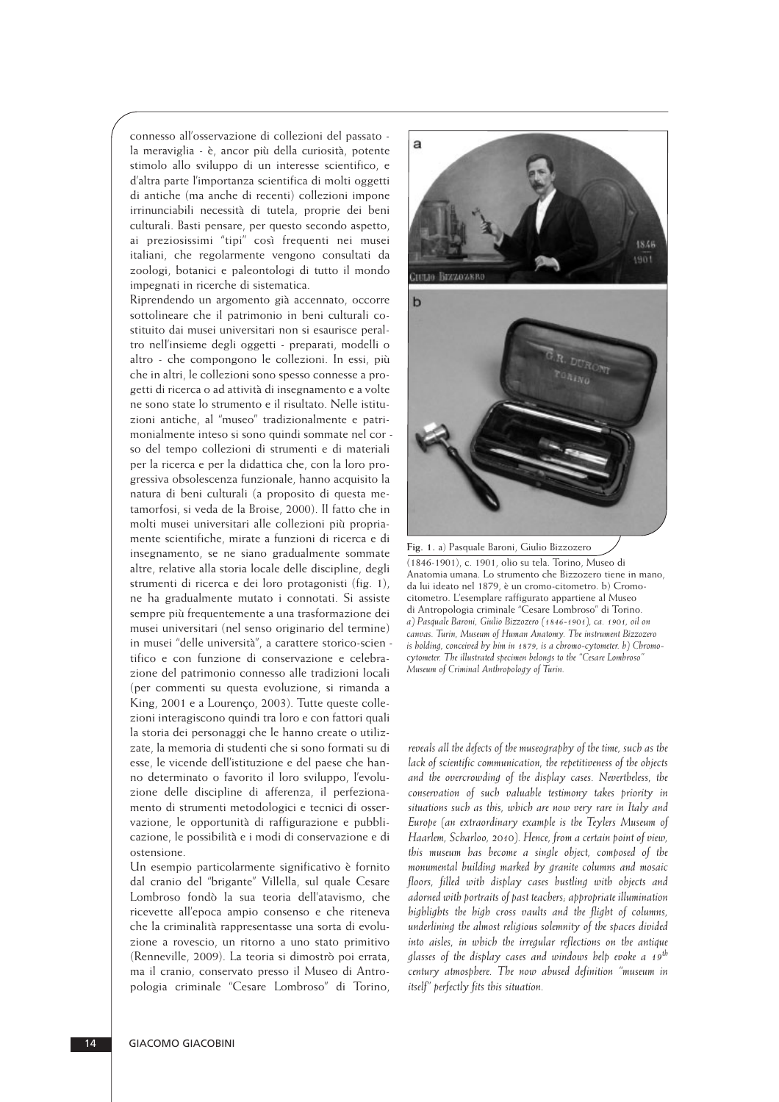connesso all'osservazione di collezioni del passato la meraviglia - è, ancor più della curiosità, potente stimolo allo sviluppo di un interesse scientifico, e d'altra parte l'importanza scientifica di molti oggetti di antiche (ma anche di recenti) collezioni impone irrinunciabili necessità di tutela, proprie dei beni culturali. Basti pensare, per questo secondo aspetto, ai preziosissimi "tipi" così frequenti nei musei italiani, che regolarmente vengono consultati da zoologi, botanici e paleontologi di tutto il mondo impegnati in ricerche di sistematica.

Riprendendo un argomento già accennato, occorre sottolineare che il patrimonio in beni culturali costituito dai musei universitari non si esaurisce peral tro nell'insieme degli oggetti - preparati, modelli o altro - che compongono le collezioni. In essi, più che in altri, le collezioni sono spesso connesse a progetti di ricerca o ad attività di insegnamento e a volte ne sono state lo strumento e il risultato. Nelle istituzioni antiche, al "museo" tradizionalmente e patrimonialmente inteso si sono quindi sommate nel cor so del tempo collezioni di strumenti e di materiali per la ricerca e per la didattica che, con la loro progressiva obsolescenza funzionale, hanno acquisito la natura di beni culturali (a proposito di questa me tamorfosi, si veda de la Broise, 2000). Il fatto che in molti musei universitari alle collezioni più propriamente scientifiche, mirate a funzioni di ricerca e di insegnamento, se ne siano gradualmente sommate altre, relative alla storia locale delle discipline, degli strumenti di ricerca e dei loro protagonisti (fig. 1), ne ha gradualmente mutato i connotati. Si assiste sempre più frequentemente a una trasformazione dei musei universitari (nel senso originario del termine) in musei "delle università", a carattere storico-scien tifico e con funzione di conservazione e celebrazione del patrimonio connesso alle tradizioni locali (per commenti su questa evoluzione, si rimanda a King, 2001 e a Lourenço, 2003). Tutte queste colle zioni interagiscono quindi tra loro e con fattori quali la storia dei personaggi che le hanno create o utilizzate, la memoria di studenti che si sono formati su di esse, le vicende dell'istituzione e del paese che han no determinato o favorito il loro sviluppo, l'evoluzione delle discipline di afferenza, il perfezionamento di strumenti metodologici e tecnici di osser vazione, le opportunità di raffigurazione e pubblicazione, le possibilità e i modi di conservazione e di ostensione.

Un esempio particolarmente significativo è fornito dal cranio del "brigante" Villella, sul quale Cesare Lombroso fondò la sua teoria dell'atavismo, che ricevette all'epoca ampio consenso e che riteneva che la criminalità rappresentasse una sorta di evolu zione a rovescio, un ritorno a uno stato primitivo (Renneville, 2009). La teoria si dimostrò poi errata, ma il cranio, conservato presso il Museo di Antropologia criminale "Cesare Lombroso" di Torino,



(1846-1901), c. 1901, olio su tela. Torino, Museo di Anatomia umana. Lo strumento che Bizzozero tiene in mano, da lui ideato nel 1879, è un cromo-citometro. b) Cromocitometro. L'esemplare raffigurato appartiene al Museo di Antropologia criminale "Cesare Lombroso" di Torino. *a) Pasquale Baroni, Giulio Bizzozero (1846-1901), ca. 1901, oil on canvas. Turin, Museum of Human Anatomy. The instrument Bizzozero is holding, conceived by him in 1879, is a chromo-cytometer. b) Chromocytometer. The illustrated specimen belongs to the "Cesare Lombroso" Museum of Criminal Anthropology of Turin.*

*reveals all the defects of the museography of the time, such as the lack of scientific communication, the repetitiveness of the objects and the overcrowding of the display cases. Nevertheless, the conservation of such valuable testimony takes priority in situations such as this, which are now very rare in Italy and Europe (an extraordinary example is the Teylers Museum of Haarlem, Scharloo, 2010). Hence, from a certain point of view, this museum has become a single object, composed of the monumental building marked by granite columns and mosaic floors, filled with display cases bustling with objects and adorned with portraits of past teachers; appropriate illumination highlights the high cross vaults and the flight of columns, underlining the almost religious solemnity of the spaces divided into aisles, in which the irregular reflections on the antique glasses of the display cases and windows help evoke a 19th century atmosphere. The now abused definition "museum in itself" perfectly fits this situation.*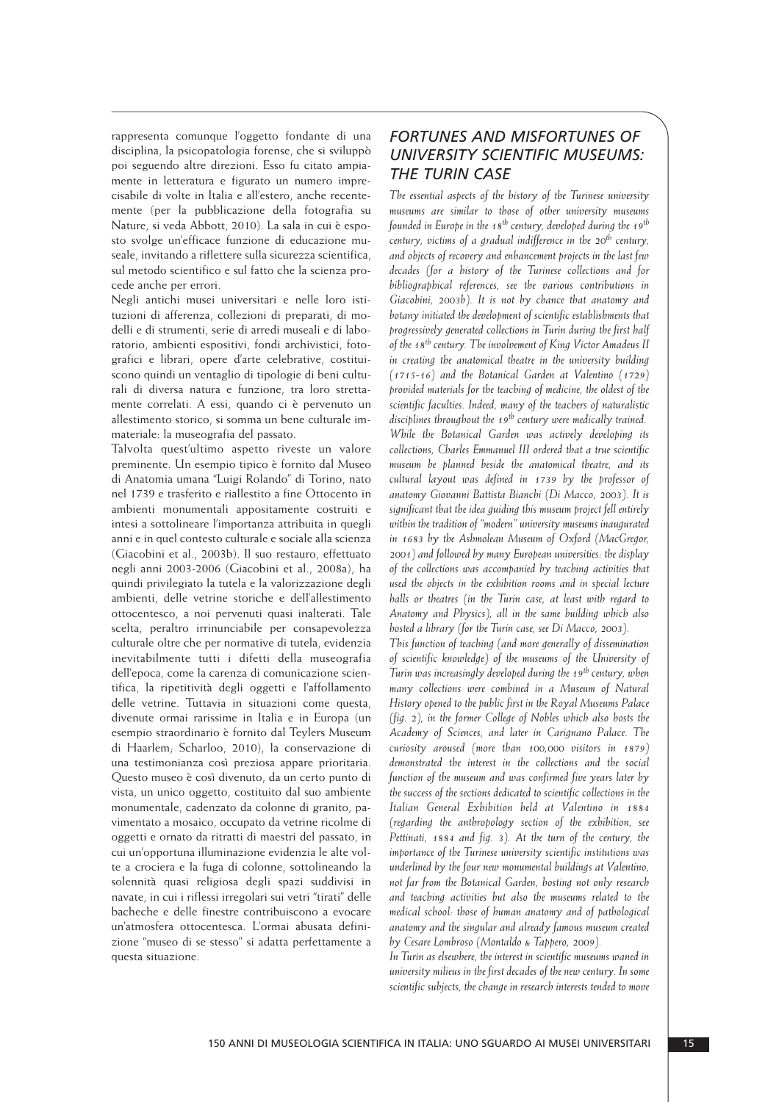rappresenta comunque l'oggetto fondante di una disciplina, la psicopatologia forense, che si sviluppò poi seguendo altre direzioni. Esso fu citato ampia mente in letteratura e figurato un numero imprecisabile di volte in Italia e all'estero, anche recentemente (per la pubblicazione della fotografia su Nature, si veda Abbott, 2010). La sala in cui è espo sto svolge un'efficace funzione di educazione mu seale, invitando a riflettere sulla sicurezza scientifica, sul metodo scientifico e sul fatto che la scienza procede anche per errori.

Negli antichi musei universitari e nelle loro istituzioni di afferenza, collezioni di preparati, di modelli e di strumenti, serie di arredi museali e di laboratorio, ambienti espositivi, fondi archivistici, fotografici e librari, opere d'arte celebrative, costituiscono quindi un ventaglio di tipologie di beni culturali di diversa natura e funzione, tra loro stretta mente correlati. A essi, quando ci è pervenuto un allestimento storico, si somma un bene culturale immateriale: la museografia del passato.

Talvolta quest'ultimo aspetto riveste un valore preminente. Un esempio tipico è fornito dal Museo di Anatomia umana "Luigi Rolando" di Torino, nato nel 1739 e trasferito e riallestito a fine Ottocento in ambienti monumentali appositamente costruiti e intesi a sottolineare l'importanza attribuita in quegli anni e in quel contesto culturale e sociale alla scienza (Giacobini et al., 2003b). Il suo restauro, effettuato negli anni 2003-2006 (Giacobini et al., 2008a), ha quindi privilegiato la tutela e la valorizzazione degli ambienti, delle vetrine storiche e dell'allestimento ottocentesco, a noi pervenuti quasi inalterati. Tale scelta, peraltro irrinunciabile per consapevolezza culturale oltre che per normative di tutela, evidenzia inevitabilmente tutti i difetti della museografia dell'epoca, come la carenza di comunicazione scientifica, la ripetitività degli oggetti e l'affollamento delle vetrine. Tuttavia in situazioni come questa, divenute ormai rarissime in Italia e in Europa (un esem pio straordinario è fornito dal Teylers Museum di Haarlem; Scharloo, 2010), la conservazione di una testimonianza così preziosa appare prioritaria. Questo museo è così divenuto, da un certo punto di vista, un unico oggetto, costituito dal suo ambiente monumentale, cadenzato da colonne di granito, pavimentato a mosaico, occupato da vetrine ricolme di oggetti e ornato da ritratti di maestri del passato, in cui un'opportuna illuminazione evidenzia le alte volte a crociera e la fuga di colonne, sottolineando la so lennità quasi religiosa degli spazi suddivisi in navate, in cui i riflessi irregolari sui vetri "tirati" delle bacheche e delle finestre contribuiscono a evocare un'atmosfera ottocentesca. L'ormai abusata defini zione "museo di se stesso" si adatta perfettamente a questa situazione.

## *FORTUNES AND MISFORTUNES OF UNIVERSITY SCIENTIFIC MUSEUMS: THE TURIN CASE*

*The essential aspects of the history of the Turinese university museums are similar to those of other university museums founded in Europe in the 18th century, developed during the 19th century, victims of a gradual indifference in the 20th century, and objects of recovery and enhancement projects in the last few decades (for a history of the Turinese collections and for bibliographical references, see the various contributions in Giacobini, 2003b). It is not by chance that anatomy and botany initiated the development of scientific establishments that progressively generated collections in Turin during the first half of the 18th century. The involvement of King Victor Amadeus II in creating the anatomical theatre in the university building (1715-16) and the Botanical Garden at Valentino (1729) provided materials for the teaching of medicine, the oldest of the scientific faculties. Indeed, many of the teachers of naturalistic disciplines throughout the 19th century were medically trained. While the Botanical Garden was actively developing its collections, Charles Emmanuel III ordered that a true scientific museum be planned beside the anatomical theatre, and its cultural layout was defined in 1739 by the professor of anatomy Giovanni Battista Bianchi (Di Macco, 2003). It is significant that the idea guiding this museum project fell entirely within the tradition of "modern" university museums inaugurated in 1683 by the Ashmolean Museum of Oxford (MacGregor, 2001) and followed by many European universities: the display of the collections was accompanied by teaching activities that used the objects in the exhibition rooms and in special lecture halls or theatres (in the Turin case, at least with regard to Anatomy and Physics), all in the same building which also hosted a library (for the Turin case, see Di Macco, 2003).*

*This function of teaching (and more generally of dissemination of scientific knowledge) of the museums of the University of Turin was increasingly developed during the 19th century, when many collections were combined in a Museum of Natural History opened to the public first in the Royal Museums Palace (fig. 2), in the former College of Nobles which also hosts the Academy of Sciences, and later in Carignano Palace. The curiosity aroused (more than 100,000 visitors in 1879) demonstrated the interest in the collections and the social function of the museum and was confirmed five years later by the success of the sections dedicated to scientific collections in the Italian General Exhibition held at Valentino in 1884 (regarding the anthropology section of the exhibition, see Pettinati, 1884 and fig. 3). At the turn of the century, the importance of the Turinese university scientific institutions was underlined by the four new monumental buildings at Valentino, not far from the Botanical Garden, hosting not only research and teaching activities but also the museums related to the medical school: those of human anatomy and of pathological anatomy and the singular and already famous museum created by Cesare Lombroso (Montaldo & Tappero, 2009).*

*In Turin as elsewhere, the interest in scientific museums waned in university milieus in the first decades of the new century. In some scientific subjects, the change in research interests tended to move*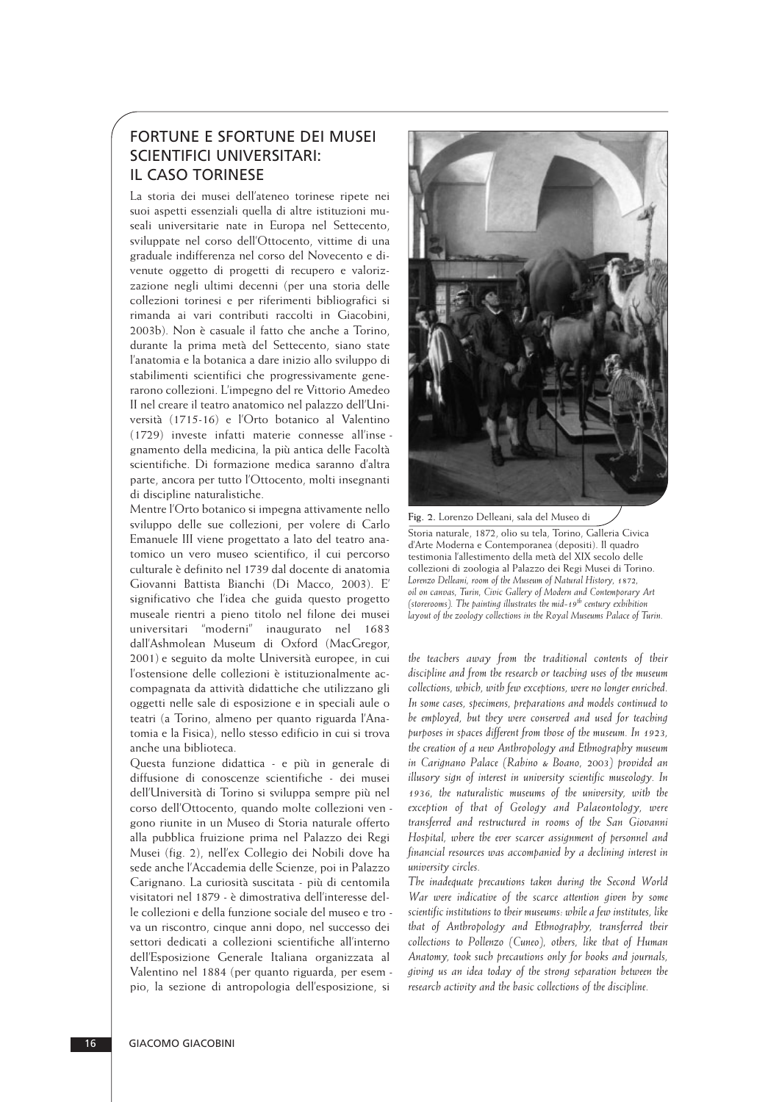## FORTUNE E SFORTUNE DEI MUSEI SCIENTIFICI UNIVERSITARI: IL CASO TORINESE

La storia dei musei dell'ateneo torinese ripete nei suoi aspetti essenziali quella di altre istituzioni mu seali universitarie nate in Europa nel Settecento, sviluppate nel corso dell'Ottocento, vittime di una graduale indifferenza nel corso del Novecento e divenute oggetto di progetti di recupero e valorizzazione negli ultimi decenni (per una storia delle collezioni torinesi e per riferimenti bibliografici si rimanda ai vari contributi raccolti in Giacobini, 2003b). Non è casuale il fatto che anche a Torino, durante la prima metà del Settecento, siano state l'anatomia e la botanica a dare inizio allo sviluppo di stabilimenti scientifici che progressivamente generarono collezioni. L'impegno del re Vittorio Amedeo II nel creare il teatro anatomico nel palazzo dell'Uni versità (1715-16) e l'Orto botanico al Valentino (1729) investe infatti materie connesse all'inse gnamento della medicina, la più antica delle Facoltà scientifiche. Di formazione medica saranno d'altra parte, ancora per tutto l'Ottocento, molti insegnanti di discipline naturalistiche.

Mentre l'Orto botanico si impegna attivamente nello sviluppo delle sue collezioni, per volere di Carlo Emanuele III viene progettato a lato del teatro anatomico un vero museo scientifico, il cui percorso culturale è definito nel 1739 dal docente di anatomia Giovanni Battista Bianchi (Di Macco, 2003). E' signi ficativo che l'idea che guida questo progetto museale rientri a pieno titolo nel filone dei musei universitari "moderni" inaugurato nel 1683 dall'Ashmolean Museum di Oxford (MacGregor, 2001) e seguito da molte Università europee, in cui l'ostensione delle collezioni è istituzionalmente accompagnata da attività didattiche che utilizzano gli oggetti nelle sale di esposizione e in speciali aule o teatri (a Torino, almeno per quanto riguarda l'Anatomia e la Fisica), nello stesso edificio in cui si trova anche una biblioteca.

Questa funzione didattica - e più in generale di diffusione di conoscenze scientifiche - dei musei dell'Università di Torino si sviluppa sempre più nel corso dell'Ottocento, quando molte collezioni ven gono riunite in un Museo di Storia naturale offerto alla pubblica fruizione prima nel Palazzo dei Regi Musei (fig. 2), nell'ex Collegio dei Nobili dove ha sede anche l'Accademia delle Scienze, poi in Palazzo Carignano. La curiosità suscitata - più di centomila visitatori nel 1879 - è dimostrativa dell'interesse del le collezioni e della funzione sociale del museo e tro va un riscontro, cinque anni dopo, nel successo dei settori dedicati a collezioni scientifiche all'interno dell'Esposizione Generale Italiana organizzata al Valentino nel 1884 (per quanto riguarda, per esem pio, la sezione di antropologia dell'esposizione, si



**Fig. 2.** Lorenzo Delleani, sala del Museo di Storia naturale, 1872, olio su tela, Torino, Galleria Civica d'Arte Moderna e Contemporanea (depositi). Il quadro testimonia l'allestimento della metà del XIX secolo delle collezioni di zoologia al Palazzo dei Regi Musei di Torino. *Lorenzo Delleani, room of the Museum of Natural History, 1872, oil on canvas, Turin, Civic Gallery of Modern and Contemporary Art (storerooms). The painting illustrates the mid-19th century exhibition layout of the zoology collections in the Royal Museums Palace of Turin.*

*the teachers away from the traditional contents of their discipline and from the research or teaching uses of the museum collections, which, with few exceptions, were no longer enriched. In some cases, specimens, preparations and models continued to be employed, but they were conserved and used for teaching purposes in spaces different from those of the museum. In 1923, the creation of a new Anthropology and Ethnography museum in Carignano Palace (Rabino & Boano, 2003) provided an illusory sign of interest in university scientific museology. In 1936, the naturalistic museums of the university, with the exception of that of Geology and Palaeontology, were transferred and restructured in rooms of the San Giovanni Hospital, where the ever scarcer assignment of personnel and financial resources was accompanied by a declining interest in university circles.* 

*The inadequate precautions taken during the Second World War were indicative of the scarce attention given by some scientific institutions to their museums: while a few institutes, like that of Anthropology and Ethnography, transferred their collections to Pollenzo (Cuneo), others, like that of Human Anatomy, took such precautions only for books and journals, giving us an idea today of the strong separation between the research activity and the basic collections of the discipline.*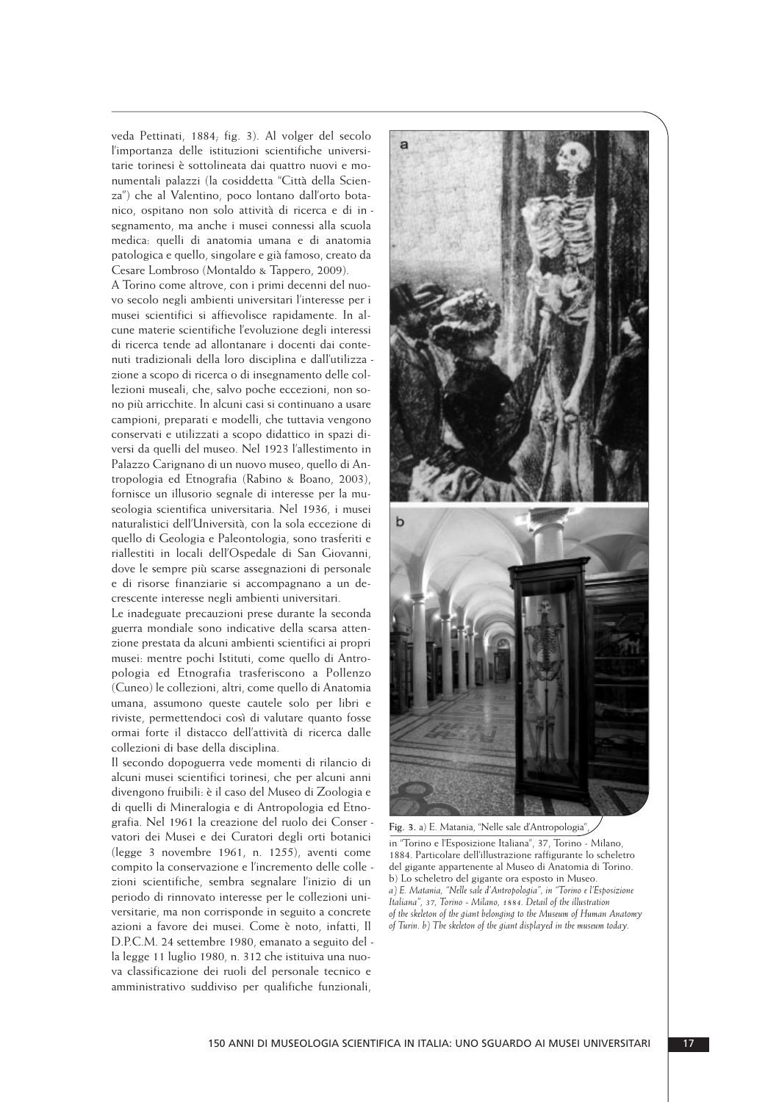veda Pettinati, 1884; fig. 3). Al volger del secolo l'importanza delle istituzioni scientifiche universitarie torinesi è sottolineata dai quattro nuovi e monumentali palazzi (la cosiddetta "Città della Scienza") che al Valentino, poco lontano dall'orto botanico, ospitano non solo attività di ricerca e di in segnamento, ma anche i musei connessi alla scuola medica: quelli di anatomia umana e di anatomia patologica e quello, singolare e già famoso, creato da Cesare Lombroso (Montaldo & Tappero, 2009).

A Torino come altrove, con i primi decenni del nuo vo secolo negli ambienti universitari l'interesse per i musei scientifici si affievolisce rapidamente. In alcune materie scientifiche l'evoluzione degli in teressi di ricerca tende ad allontanare i docenti dai contenuti tradizionali della loro disciplina e dall'utilizza zione a scopo di ricerca o di insegnamento delle col lezioni museali, che, salvo poche eccezioni, non sono più arricchite. In alcuni casi si continuano a usare campioni, preparati e modelli, che tuttavia vengono conservati e utilizzati a scopo didattico in spazi diversi da quelli del museo. Nel 1923 l'allestimento in Palazzo Carignano di un nuovo museo, quello di Antropologia ed Etnografia (Rabino & Boano, 2003), fornisce un illusorio segnale di interesse per la mu seologia scientifica universitaria. Nel 1936, i musei naturalistici dell'Università, con la sola eccezione di quello di Geologia e Paleontologia, sono trasferiti e riallestiti in locali dell'Ospedale di San Giovanni, dove le sempre più scarse assegnazioni di personale e di risorse finanziarie si accompagnano a un de crescente interesse negli ambienti universitari.

Le inadeguate precauzioni prese durante la seconda guerra mondiale sono indicative della scarsa atten zione prestata da alcuni ambienti scientifici ai propri musei: mentre pochi Istituti, come quello di Antropo logia ed Etnografia trasferiscono a Pollenzo (Cuneo) le collezioni, altri, come quello di Anatomia umana, assumono queste cautele solo per libri e riviste, permettendoci così di valutare quanto fosse ormai forte il distacco dell'attività di ricerca dalle collezioni di base della disciplina.

Il secondo dopoguerra vede momenti di rilancio di alcuni musei scientifici torinesi, che per alcuni anni divengono fruibili: è il caso del Museo di Zoologia e di quelli di Mineralogia e di Antropologia ed Etnografia. Nel 1961 la creazione del ruolo dei Conser vatori dei Musei e dei Curatori degli orti botanici (legge 3 novembre 1961, n. 1255), aventi come com pito la conservazione e l'incremento delle colle zioni scientifiche, sembra segnalare l'inizio di un periodo di rinnovato interesse per le collezioni uni versitarie, ma non corrisponde in seguito a concrete azioni a favore dei musei. Come è noto, infatti, Il D.P.C.M. 24 settembre 1980, emanato a seguito del la legge 11 luglio 1980, n. 312 che istituiva una nuova classificazione dei ruoli del personale tecnico e amministrativo suddiviso per qualifiche funzionali,



**Fig. 3.** a) E. Matania, "Nelle sale d'Antropologia",

in "Torino e l'Esposizione Italiana", 37, Torino - Milano, 1884. Particolare dell'illustrazione raffigurante lo scheletro del gigante appartenente al Museo di Anatomia di Torino. b) Lo scheletro del gigante ora esposto in Museo. *a) E. Matania, "Nelle sale d'Antropologia", in "Torino e l'Esposizione Italiana", 37, Torino - Milano, 1884. Detail of the illustration of the skeleton of the giant belonging to the Museum of Human Anatomy of Turin. b) The skeleton of the giant displayed in the museum today.*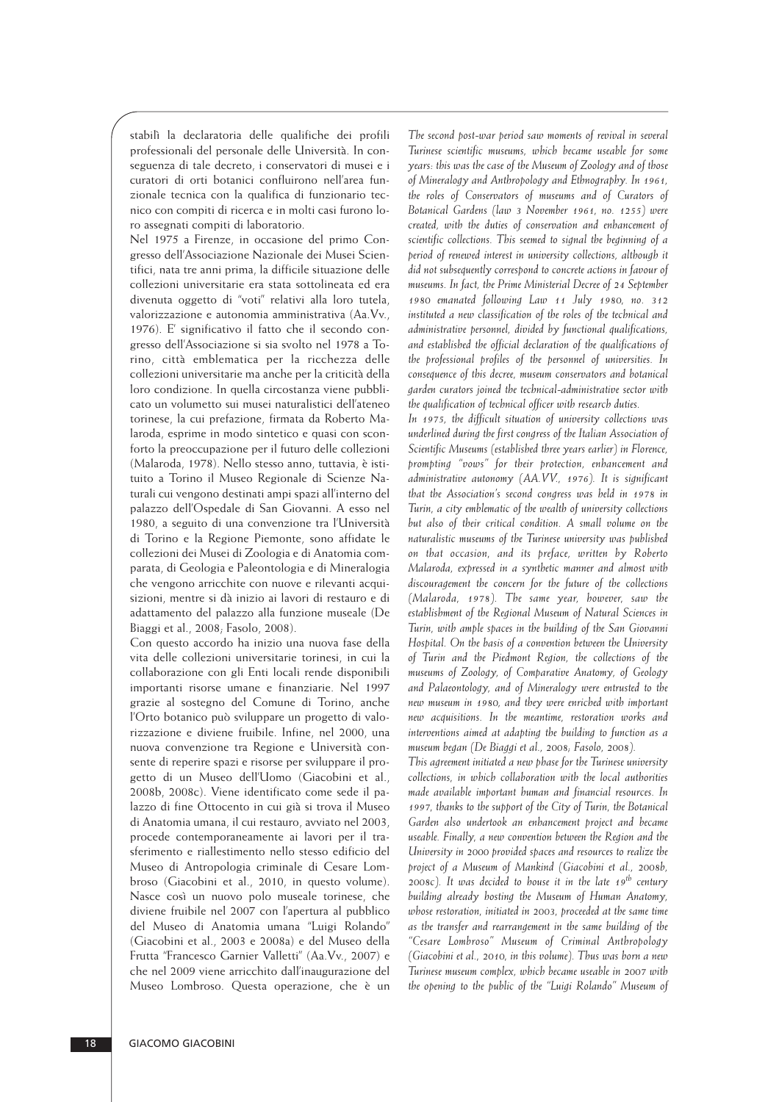stabilì la declaratoria delle qualifiche dei profili professionali del personale delle Università. In conseguenza di tale decreto, i conservatori di musei e i curatori di orti botanici confluirono nell'area funzionale tecnica con la qualifica di funzionario tecnico con compiti di ricerca e in molti casi furono loro assegnati compiti di laboratorio.

Nel 1975 a Firenze, in occasione del primo Congresso dell'Associazione Nazionale dei Musei Scien tifici, nata tre anni prima, la difficile situazione delle collezioni universitarie era stata sottolineata ed era divenuta oggetto di "voti" relativi alla loro tutela, valorizzazione e autonomia amministrativa (Aa.Vv., 1976). E' significativo il fatto che il secondo congresso dell'Associazione si sia svolto nel 1978 a Torino, città emblematica per la ricchezza delle collezioni universitarie ma anche per la criticità della loro condizione. In quella circostanza viene pubblicato un volumetto sui musei naturalistici dell'ateneo torinese, la cui prefazione, firmata da Roberto Malaroda, esprime in modo sintetico e quasi con sconforto la preoccupazione per il futuro delle collezioni (Malaroda, 1978). Nello stesso anno, tuttavia, è isti tuito a Torino il Museo Regionale di Scienze Naturali cui vengono destinati ampi spazi all'interno del palazzo dell'Ospedale di San Giovanni. A esso nel 1980, a seguito di una convenzione tra l'Università di Torino e la Regione Piemonte, sono affidate le collezioni dei Musei di Zoologia e di Anatomia com parata, di Geologia e Paleontologia e di Mineralogia che vengono arricchite con nuove e rilevanti acqui sizioni, mentre si dà inizio ai lavori di restauro e di adattamento del palazzo alla funzione museale (De Biaggi et al., 2008; Fasolo, 2008).

Con questo accordo ha inizio una nuova fase della vita delle collezioni universitarie torinesi, in cui la collaborazione con gli Enti locali rende disponibili importanti risorse umane e finanziarie. Nel 1997 grazie al sostegno del Comune di Torino, anche l'Orto botanico può sviluppare un progetto di valoriz zazione e diviene fruibile. Infine, nel 2000, una nuova convenzione tra Regione e Università consente di reperire spazi e risorse per sviluppare il progetto di un Museo dell'Uomo (Giacobini et al., 2008b, 2008c). Viene identificato come sede il palazzo di fine Ottocento in cui già si trova il Museo di Anatomia umana, il cui restauro, avviato nel 2003, procede contemporaneamente ai lavori per il trasferimento e riallestimento nello stesso edificio del Museo di Antropologia criminale di Cesare Lombroso (Giacobini et al., 2010, in questo volume). Nasce così un nuovo polo museale torinese, che diviene fruibile nel 2007 con l'apertura al pubblico del Museo di Anatomia umana "Luigi Rolando" (Giacobini et al., 2003 e 2008a) e del Museo della Frutta "Francesco Garnier Valletti" (Aa.Vv., 2007) e che nel 2009 viene arricchito dall'inaugurazione del Museo Lombroso. Questa operazione, che è un *The second post-war period saw moments of revival in several Turinese scientific museums, which became useable for some years: this was the case of the Museum of Zoology and of those of Mineralogy and Anthropology and Ethnography. In 1961, the roles of Conservators of museums and of Curators of Botanical Gardens (law 3 November 1961, no. 1255) were created, with the duties of conservation and enhancement of scientific collections. This seemed to signal the beginning of a period of renewed interest in university collections, although it did not subsequently correspond to concrete actions in favour of museums. In fact, the Prime Ministerial Decree of 24 September 1980 emanated following Law 11 July 1980, no. 312 instituted a new classification of the roles of the technical and administrative personnel, divided by functional qualifications, and established the official declaration of the qualifications of the professional profiles of the personnel of universities. In consequence of this decree, museum conservators and botanical garden curators joined the technical-administrative sector with the qualification of technical officer with research duties.*

*In 1975, the difficult situation of university collections was underlined during the first congress of the Italian Association of Scientific Museums (established three years earlier) in Florence, prompting "vows" for their protection, enhancement and administrative autonomy (AA.VV., 1976). It is significant that the Association's second congress was held in 1978 in Turin, a city emblematic of the wealth of university collections but also of their critical condition. A small volume on the naturalistic museums of the Turinese university was published on that occasion, and its preface, written by Roberto Malaroda, expressed in a synthetic manner and almost with discouragement the concern for the future of the collections (Malaroda, 1978). The same year, however, saw the establishment of the Regional Museum of Natural Sciences in Turin, with ample spaces in the building of the San Giovanni Hospital. On the basis of a convention between the University of Turin and the Piedmont Region, the collections of the museums of Zoology, of Comparative Anatomy, of Geology and Palaeontology, and of Mineralogy were entrusted to the new museum in 1980, and they were enriched with important new acquisitions. In the meantime, restoration works and interventions aimed at adapting the building to function as a museum began (De Biaggi et al., 2008; Fasolo, 2008).*

*This agreement initiated a new phase for the Turinese university collections, in which collaboration with the local authorities made available important human and financial resources. In 1997, thanks to the support of the City of Turin, the Botanical Garden also undertook an enhancement project and became useable. Finally, a new convention between the Region and the University in 2000 provided spaces and resources to realize the project of a Museum of Mankind (Giacobini et al., 2008b, 2008c). It was decided to house it in the late 19th century building already hosting the Museum of Human Anatomy, whose restoration, initiated in 2003, proceeded at the same time as the transfer and rearrangement in the same building of the "Cesare Lombroso" Museum of Criminal Anthropology (Giacobini et al., 2010, in this volume). Thus was born a new Turinese museum complex, which became useable in 2007 with the opening to the public of the "Luigi Rolando" Museum of*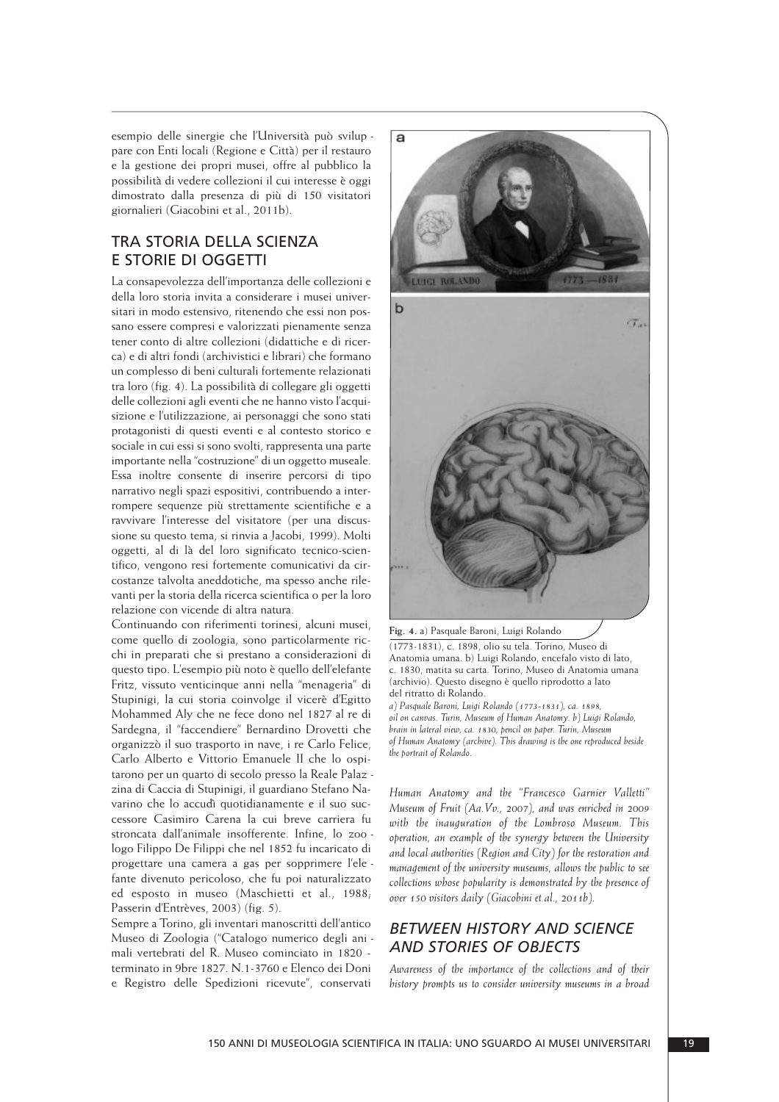esempio delle sinergie che l'Università può svilup pare con Enti locali (Regione e Città) per il restauro e la gestione dei propri musei, offre al pubblico la possibilità di vedere collezioni il cui interesse è oggi dimostrato dalla presenza di più di 150 visitatori giornalieri (Giacobini et al., 2011b).

#### TRA STORIA DELLA SCIENZA E STORIE DI OGGETTI

La consapevolezza dell'importanza delle collezioni e della loro storia invita a considerare i musei universitari in modo estensivo, ritenendo che essi non possano essere compresi e valorizzati pienamente senza tener conto di altre collezioni (didattiche e di ricerca) e di altri fondi (archivistici e librari) che formano un complesso di beni culturali fortemente relazionati tra loro (fig. 4). La possibilità di collegare gli oggetti delle collezioni agli eventi che ne hanno visto l'acqui sizione e l'utilizzazione, ai personaggi che sono stati protagonisti di questi eventi e al contesto storico e sociale in cui essi si sono svolti, rappresenta una parte importante nella "costruzione" di un oggetto museale. Essa inoltre consente di inserire percorsi di tipo narrativo negli spazi espositivi, contribuendo a interrompere sequenze più strettamente scientifiche e a ravvivare l'interesse del visitatore (per una discussione su questo tema, si rinvia a Jacobi, 1999). Molti oggetti, al di là del loro significato tecnico-scientifico, vengono resi fortemente comunicativi da circostanze talvolta aneddotiche, ma spesso anche rilevanti per la storia della ricerca scientifica o per la loro relazione con vicende di altra natura.

Continuando con riferimenti torinesi, alcuni musei, come quello di zoologia, sono particolarmente ric chi in preparati che si prestano a considerazioni di questo tipo. L'esempio più noto è quello dell'elefante Fritz, vissuto venticinque anni nella "menageria" di Stupinigi, la cui storia coinvolge il vicerè d'Egitto Mohammed Aly che ne fece dono nel 1827 al re di Sardegna, il "faccendiere" Bernardino Drovetti che organizzò il suo trasporto in nave, i re Carlo Felice, Carlo Alberto e Vittorio Emanuele II che lo ospi tarono per un quarto di secolo presso la Reale Palaz zina di Caccia di Stupinigi, il guardiano Stefano Navarino che lo accudì quotidianamente e il suo successore Casimiro Carena la cui breve carriera fu stron cata dall'animale insofferente. Infine, lo zoo logo Filippo De Filippi che nel 1852 fu incaricato di progettare una camera a gas per sopprimere l'ele fante divenuto pericoloso, che fu poi naturalizzato ed esposto in museo (Maschietti et al., 1988; Passerin d'Entrèves, 2003) (fig. 5).

Sempre a Torino, gli inventari manoscritti dell'antico Museo di Zoologia ("Catalogo numerico degli ani mali vertebrati del R. Museo cominciato in 1820 terminato in 9bre 1827. N.1-3760 e Elenco dei Doni e Registro delle Spedizioni ricevute", conservati





**Fig. 4.** a) Pasquale Baroni, Luigi Rolando

(1773-1831), c. 1898, olio su tela. Torino, Museo di Anatomia umana. b) Luigi Rolando, encefalo visto di lato, c. 1830, matita su carta. Torino, Museo di Anatomia umana (archivio). Questo disegno è quello riprodotto a lato del ritratto di Rolando.

*a) Pasquale Baroni, Luigi Rolando (1773-1831), ca. 1898, oil on canvas. Turin, Museum of Human Anatomy. b) Luigi Rolando, brain in lateral view, ca. 1830, pencil on paper. Turin, Museum of Human Anatomy (archive). This drawing is the one reproduced beside the portrait of Rolando.*

*Human Anatomy and the "Francesco Garnier Valletti" Museum of Fruit (Aa.Vv., 2007), and was enriched in 2009 with the inauguration of the Lombroso Museum. This operation, an example of the synergy between the University and local authorities (Region and City) for the restoration and management of the university museums, allows the public to see collections whose popularity is demonstrated by the presence of over 150 visitors daily (Giacobini et al., 2011b).*

#### *BETWEEN HISTORY AND SCIENCE AND STORIES OF OBJECTS*

*Awareness of the importance of the collections and of their history prompts us to consider university museums in a broad*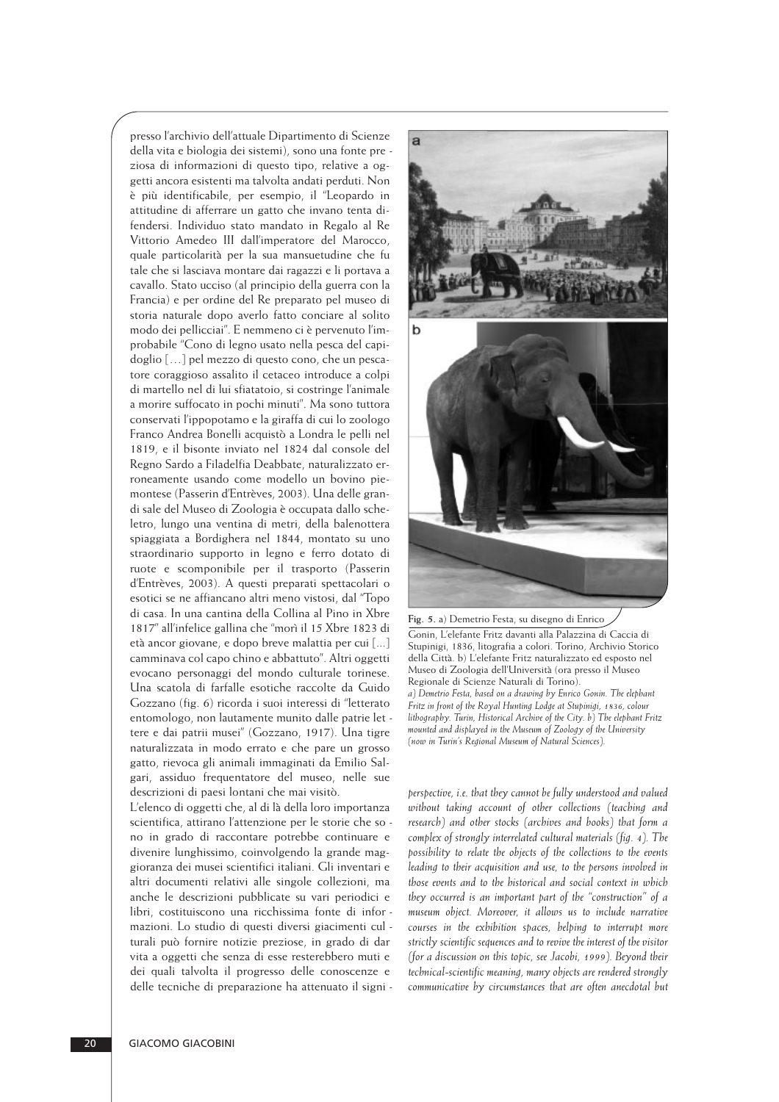presso l'archivio dell'attuale Dipartimento di Scienze della vita e biologia dei sistemi), sono una fonte pre ziosa di informazioni di questo tipo, relative a oggetti ancora esistenti ma talvolta andati perduti. Non è più identificabile, per esempio, il "Leopardo in attitudine di afferrare un gatto che invano tenta difendersi. Individuo stato mandato in Regalo al Re Vittorio Amedeo III dall'imperatore del Marocco, quale particolarità per la sua mansuetudine che fu tale che si lasciava montare dai ragazzi e li portava a cavallo. Stato ucciso (al principio della guerra con la Francia) e per ordine del Re preparato pel museo di storia naturale dopo averlo fatto conciare al solito modo dei pellicciai". E nemmeno ci è pervenuto l'im probabile "Cono di legno usato nella pesca del capi doglio [...] pel mezzo di questo cono, che un pescatore coraggioso assalito il cetaceo introduce a colpi di martello nel di lui sfiatatoio, si costringe l'animale a morire suffocato in pochi minuti". Ma sono tuttora conservati l'ippopotamo e la giraffa di cui lo zoologo Franco Andrea Bonelli acquistò a Londra le pelli nel 1819, e il bisonte inviato nel 1824 dal console del Regno Sardo a Filadelfia Deabbate, naturalizzato er roneamente usando come modello un bovino piemontese (Passerin d'Entrèves, 2003). Una delle grandi sale del Museo di Zoologia è occupata dallo sche letro, lungo una ventina di metri, della balenottera spiaggiata a Bordighera nel 1844, montato su uno straordinario supporto in legno e ferro dotato di ruote e scomponibile per il trasporto (Passerin d'Entrèves, 2003). A questi preparati spettacolari o esotici se ne affiancano altri meno vistosi, dal "Topo di casa. In una cantina della Collina al Pino in Xbre 1817" all'infelice gallina che "morì il 15 Xbre 1823 di età ancor giovane, e dopo breve malattia per cui [...] camminava col capo chino e abbattuto". Altri oggetti evocano personaggi del mondo culturale torinese. Una scatola di farfalle esotiche raccolte da Guido Gozzano (fig. 6) ricorda i suoi interessi di "letterato entomologo, non lautamente munito dalle patrie let tere e dai patrii musei" (Gozzano, 1917). Una tigre naturalizzata in modo errato e che pare un grosso gatto, rievoca gli animali immaginati da Emilio Sal gari, assiduo frequentatore del museo, nelle sue descrizioni di paesi lontani che mai visitò.

L'elenco di oggetti che, al di là della loro importanza scientifica, attirano l'attenzione per le storie che so no in grado di raccontare potrebbe continuare e divenire lunghissimo, coinvolgendo la grande maggio ranza dei musei scientifici italiani. Gli inventari e altri documenti relativi alle singole collezioni, ma anche le descrizioni pubblicate su vari periodici e libri, costituiscono una ricchissima fonte di informazioni. Lo studio di questi diversi giacimenti cul turali può fornire notizie preziose, in grado di dar vita a oggetti che senza di esse resterebbero muti e dei quali talvolta il progresso delle conoscenze e delle tecniche di preparazione ha attenuato il signi -



Gonin, L'elefante Fritz davanti alla Palazzina di Caccia di Stupinigi, 1836, litografia a colori. Torino, Archivio Storico della Città. b) L'elefante Fritz naturalizzato ed esposto nel Museo di Zoologia dell'Università (ora presso il Museo Regionale di Scienze Naturali di Torino). *a) Demetrio Festa, based on a drawing by Enrico Gonin. The elephant Fritz in front of the Royal Hunting Lodge at Stupinigi, 1836, colour lithography. Turin, Historical Archive of the City. b) The elephant Fritz mounted and displayed in the Museum of Zoology of the University (now in Turin's Regional Museum of Natural Sciences).*

*perspective, i.e. that they cannot be fully understood and valued without taking account of other collections (teaching and research) and other stocks (archives and books) that form a complex of strongly interrelated cultural materials (fig. 4). The possibility to relate the objects of the collections to the events leading to their acquisition and use, to the persons involved in those events and to the historical and social context in which they occurred is an important part of the "construction" of a museum object. Moreover, it allows us to include narrative courses in the exhibition spaces, helping to interrupt more strictly scientific sequences and to revive the interest of the visitor (for a discussion on this topic, see Jacobi, 1999). Beyond their technical-scientific meaning, many objects are rendered strongly communicative by circumstances that are often anecdotal but*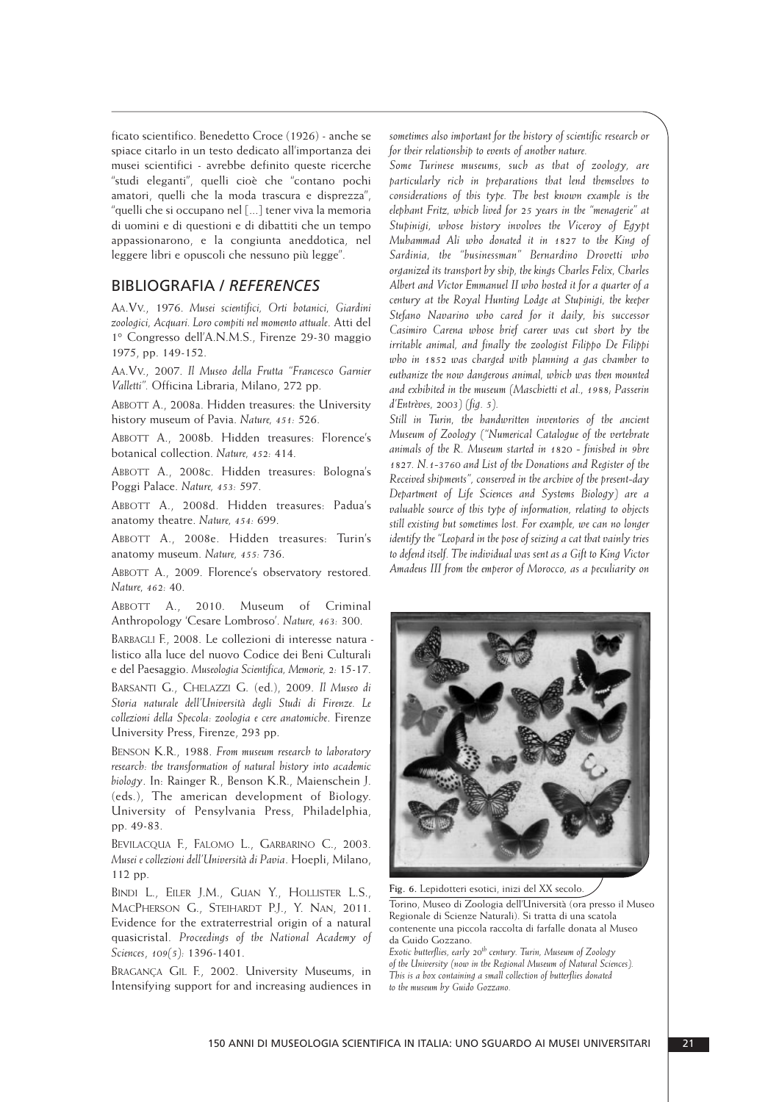ficato scientifico. Benedetto Croce (1926) - anche se spiace citarlo in un testo dedicato all'importanza dei musei scientifici - avrebbe definito queste ricerche "studi eleganti", quelli cioè che "contano pochi amatori, quelli che la moda trascura e disprezza". "quelli che si occupano nel [...] tener viva la memoria di uomini e di questioni e di dibattiti che un tempo appassionarono, e la congiunta aneddotica, nel leggere libri e opuscoli che nessuno più legge".

#### BIBLIOGRAFIA / *REFERENCES*

AA.VV., 1976. *Musei scientifici, Orti botanici, Giardini zoologici, Acquari. Loro compiti nel momento attuale*. Atti del 1° Congresso dell'A.N.M.S., Firenze 29-30 maggio 1975, pp. 149-152.

AA.VV., 2007. *Il Museo della Frutta "Francesco Garnier Valletti".* Officina Libraria, Milano, 272 pp.

ABBOTT A., 2008a. Hidden treasures: the University history museum of Pavia. *Nature, 451:* 526.

ABBOTT A., 2008b. Hidden treasures: Florence's botanical collection. *Nature, 452:* 414.

ABBOTT A., 2008c. Hidden treasures: Bologna's Poggi Palace. *Nature, 453:* 597.

ABBOTT A., 2008d. Hidden treasures: Padua's anatomy theatre. *Nature, 454:* 699.

ABBOTT A., 2008e. Hidden treasures: Turin's anatomy museum. *Nature, 455:* 736.

ABBOTT A., 2009. Florence's observatory restored. *Nature, 462:* 40.

ABBOTT A., 2010. Museum of Criminal Anthropology 'Cesare Lombroso'. *Nature, 463:* 300.

BARBAGLI F., 2008. Le collezioni di interesse natura listico alla luce del nuovo Codice dei Beni Culturali e del Paesaggio. *Museologia Scientifica, Memorie, 2:* 15-17.

BARSANTI G., CHELAZZI G. (ed.), 2009. *Il Museo di Storia naturale dell'Università degli Studi di Firenze. Le collezioni della Specola: zoologia e cere anatomiche*. Firenze University Press, Firenze, 293 pp.

BENSON K.R., 1988. *From museum research to laboratory research: the transformation of natural history into academic biology*. In: Rainger R., Benson K.R., Maienschein J. (eds.), The american development of Biology. University of Pensylvania Press, Philadelphia, pp. 49-83.

BEVILACQUA F., FALOMO L., GARBARINO C., 2003. *Musei e collezioni dell'Università di Pavia*. Hoepli, Milano, 112 pp.

BINDI L., EILER J.M., GUAN Y., HOLLISTER L.S., MACPHERSON G., STEIHARDT P.J., Y. NAN, 2011. Evidence for the extraterrestrial origin of a natural quasicristal. *Proceedings of the National Academy of Sciences*, *109(5):* 1396-1401.

BRAGANÇA GIL F., 2002. University Museums, in Intensifying support for and increasing audiences in *sometimes also important for the history of scientific research or for their relationship to events of another nature.* 

*Some Turinese museums, such as that of zoology, are particularly rich in preparations that lend themselves to considerations of this type. The best known example is the elephant Fritz, which lived for 25 years in the "menagerie" at Stupinigi, whose history involves the Viceroy of Egypt Muhammad Ali who donated it in 1827 to the King of Sardinia, the "businessman" Bernardino Drovetti who organized its transport by ship, the kings Charles Felix, Charles Albert and Victor Emmanuel II who hosted it for a quarter of a century at the Royal Hunting Lodge at Stupinigi, the keeper Stefano Navarino who cared for it daily, his successor Casimiro Carena whose brief career was cut short by the irritable animal, and finally the zoologist Filippo De Filippi who in 1852 was charged with planning a gas chamber to euthanize the now dangerous animal, which was then mounted and exhibited in the museum (Maschietti et al., 1988; Passerin d'Entrèves, 2003) (fig. 5).*

*Still in Turin, the handwritten inventories of the ancient Museum of Zoology ("Numerical Catalogue of the vertebrate animals of the R. Museum started in 1820 - finished in 9bre 1827. N.1-3760 and List of the Donations and Register of the Received shipments", conserved in the archive of the present-day Department of Life Sciences and Systems Biology) are a valuable source of this type of information, relating to objects still existing but sometimes lost. For example, we can no longer identify the "Leopard in the pose of seizing a cat that vainly tries to defend itself. The individual was sent as a Gift to King Victor Amadeus III from the emperor of Morocco, as a peculiarity on*



**Fig. 6.** Lepidotteri esotici, inizi del XX secolo.

Torino, Museo di Zoologia dell'Università (ora presso il Museo Regionale di Scienze Naturali). Si tratta di una scatola contenente una piccola raccolta di farfalle donata al Museo da Guido Gozzano.

*Exotic butterflies, early 20th century. Turin, Museum of Zoology of the University (now in the Regional Museum of Natural Sciences). This is a box containing a small collection of butterflies donated to the museum by Guido Gozzano.*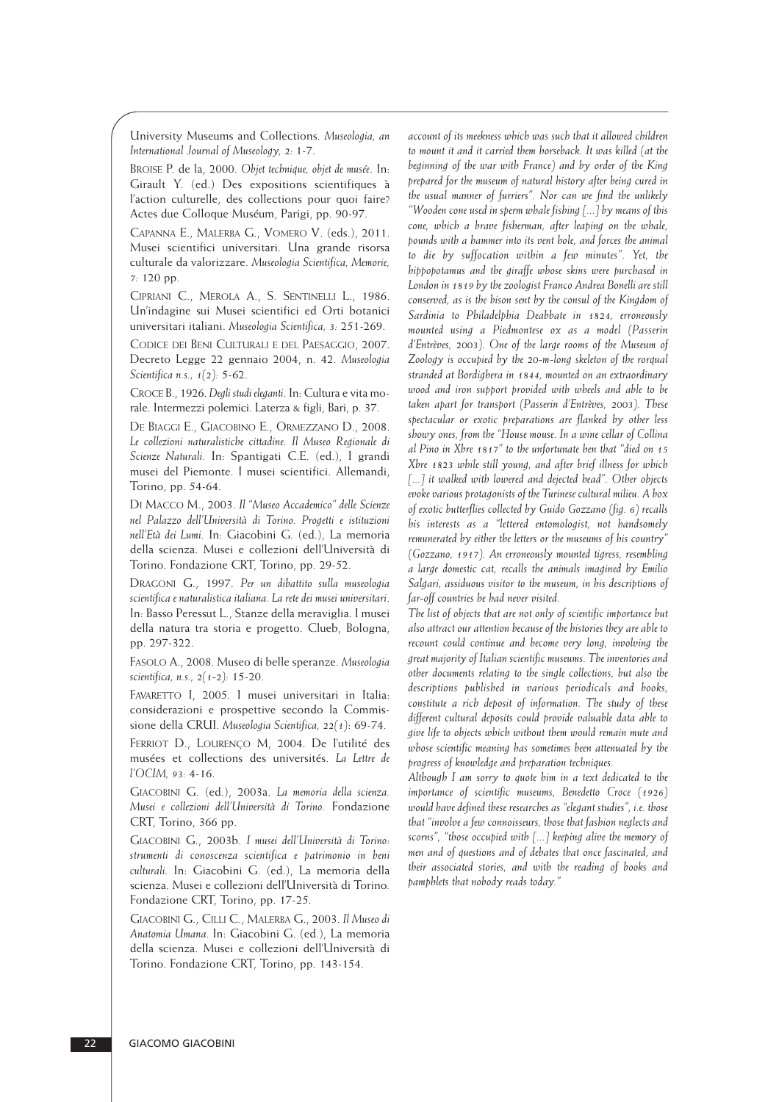University Museums and Collections. *Museologia, an International Journal of Museology, 2:* 1-7.

BROISE P. de la, 2000. *Objet technique, objet de musée*. In: Girault Y. (ed.) Des expositions scientifiques à l'action culturelle, des collections pour quoi faire? Actes due Colloque Muséum, Parigi, pp. 90-97.

CAPANNA E., MALERBA G., VOMERO V. (eds.), 2011. Musei scientifici universitari. Una grande risorsa culturale da valorizzare. *Museologia Scientifica, Memorie, 7:* 120 pp.

CIPRIANI C., MEROLA A., S. SENTINELLI L., 1986. Un'indagine sui Musei scientifici ed Orti botanici universitari italiani. *Museologia Scientifica, 3:* 251-269.

CODICE DEI BENI CULTURALI E DEL PAESAGGIO, 2007. Decreto Legge 22 gennaio 2004, n. 42. *Museologia Scientifica n.s., 1(2):* 5-62.

CROCE B., 1926.*Degli studi eleganti*. In: Cultura e vita mo rale. Intermezzi polemici. Laterza & figli, Bari, p. 37.

DE BIAGGI E., GIACOBINO E., ORMEZZANO D., 2008. *Le collezioni naturalistiche cittadine. Il Museo Regionale di Scienze Naturali.* In: Spantigati C.E. (ed.), I grandi musei del Piemonte. I musei scientifici. Allemandi, Torino, pp. 54-64.

DI MACCO M., 2003. *Il "Museo Accademico" delle Scienze nel Palazzo dell'Università di Torino. Progetti e istituzioni nell'Età dei Lumi.* In: Giacobini G. (ed.), La memoria della scienza. Musei e collezioni dell'Università di Torino. Fondazione CRT, Torino, pp. 29-52.

DRAGONI G., 1997. *Per un dibattito sulla museologia scientifica e naturalistica italiana. La rete dei musei universitari*. In: Basso Peressut L., Stanze della meraviglia. I musei della natura tra storia e progetto. Clueb, Bologna, pp. 297-322.

FASOLO A., 2008. Museo di belle speranze. *Museologia scientifica, n.s., 2(1-2):* 15-20.

FAVARETTO I, 2005. I musei universitari in Italia: considerazioni e prospettive secondo la Commissione della CRUI. *Museologia Scientifica, 22(1)*: 69-74.

FERRIOT D., LOURENÇO M, 2004. De l'utilité des musées et collections des universités. *La Lettre de l'OCIM, 93:* 4-16.

GIACOBINI G. (ed.), 2003a. *La memoria della scienza. Musei e collezioni dell'Università di Torino.* Fondazione CRT, Torino, 366 pp.

GIACOBINI G., 2003b. *I musei dell'Università di Torino: strumenti di conoscenza scientifica e patrimonio in beni culturali.* In: Giacobini G. (ed.), La memoria della scienza. Musei e collezioni dell'Università di Torino*.* Fondazione CRT, Torino, pp. 17-25.

GIACOBINI G., CILLI C., MALERBA G., 2003. *Il Museo di Anatomia Umana.* In: Giacobini G. (ed.), La memoria della scienza. Musei e collezioni dell'Università di Torino. Fondazione CRT, Torino, pp. 143-154.

*account of its meekness which was such that it allowed children to mount it and it carried them horseback. It was killed (at the beginning of the war with France) and by order of the King prepared for the museum of natural history after being cured in the usual manner of furriers". Nor can we find the unlikely "Wooden cone used in sperm whale fishing [...] by means of this cone, which a brave fisherman, after leaping on the whale, pounds with a hammer into its vent hole, and forces the animal to die by suffocation within a few minutes". Yet, the hippopotamus and the giraffe whose skins were purchased in London in 1819 by the zoologist Franco Andrea Bonelli are still conserved, as is the bison sent by the consul of the Kingdom of Sardinia to Philadelphia Deabbate in 1824, erroneously mounted using a Piedmontese ox as a model (Passerin d'Entrèves, 2003). One of the large rooms of the Museum of Zoology is occupied by the 20-m-long skeleton of the rorqual stranded at Bordighera in 1844, mounted on an extraordinary wood and iron support provided with wheels and able to be taken apart for transport (Passerin d'Entrèves, 2003). These spectacular or exotic preparations are flanked by other less showy ones, from the "House mouse. In a wine cellar of Collina al Pino in Xbre 1817" to the unfortunate hen that "died on 15 Xbre 1823 while still young, and after brief illness for which [...] it walked with lowered and dejected head". Other objects evoke various protagonists of the Turinese cultural milieu. A box of exotic butterflies collected by Guido Gozzano (fig. 6) recalls his interests as a "lettered entomologist, not handsomely remunerated by either the letters or the museums of his country" (Gozzano, 1917). An erroneously mounted tigress, resembling a large domestic cat, recalls the animals imagined by Emilio Salgari, assiduous visitor to the museum, in his descriptions of far-off countries he had never visited.*

*The list of objects that are not only of scientific importance but also attract our attention because of the histories they are able to recount could continue and become very long, involving the great majority of Italian scientific museums. The inventories and other documents relating to the single collections, but also the descriptions published in various periodicals and books, constitute a rich deposit of information. The study of these different cultural deposits could provide valuable data able to give life to objects which without them would remain mute and whose scientific meaning has sometimes been attenuated by the progress of knowledge and preparation techniques.* 

*Although I am sorry to quote him in a text dedicated to the importance of scientific museums, Benedetto Croce (1926) would have defined these researches as "elegant studies", i.e. those that "involve a few connoisseurs, those that fashion neglects and scorns", "those occupied with [...] keeping alive the memory of men and of questions and of debates that once fascinated, and their associated stories, and with the reading of books and pamphlets that nobody reads today."*